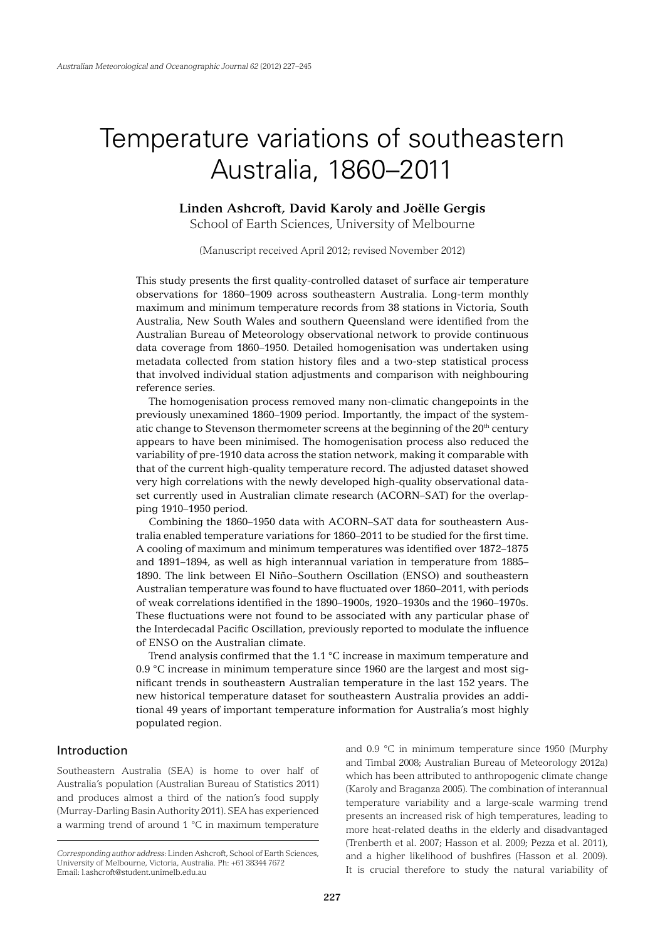# Temperature variations of southeastern Australia, 1860–2011

# **Linden Ashcroft, David Karoly and Joëlle Gergis**

School of Earth Sciences, University of Melbourne

(Manuscript received April 2012; revised November 2012)

This study presents the first quality-controlled dataset of surface air temperature observations for 1860–1909 across southeastern Australia. Long-term monthly maximum and minimum temperature records from 38 stations in Victoria, South Australia, New South Wales and southern Queensland were identified from the Australian Bureau of Meteorology observational network to provide continuous data coverage from 1860–1950. Detailed homogenisation was undertaken using metadata collected from station history files and a two-step statistical process that involved individual station adjustments and comparison with neighbouring reference series.

The homogenisation process removed many non-climatic changepoints in the previously unexamined 1860–1909 period. Importantly, the impact of the systematic change to Stevenson thermometer screens at the beginning of the 20<sup>th</sup> century appears to have been minimised. The homogenisation process also reduced the variability of pre-1910 data across the station network, making it comparable with that of the current high-quality temperature record. The adjusted dataset showed very high correlations with the newly developed high-quality observational dataset currently used in Australian climate research (ACORN–SAT) for the overlapping 1910–1950 period.

Combining the 1860–1950 data with ACORN–SAT data for southeastern Australia enabled temperature variations for 1860–2011 to be studied for the first time. A cooling of maximum and minimum temperatures was identified over 1872–1875 and 1891–1894, as well as high interannual variation in temperature from 1885– 1890. The link between El Niño–Southern Oscillation (ENSO) and southeastern Australian temperature was found to have fluctuated over 1860–2011, with periods of weak correlations identified in the 1890–1900s, 1920–1930s and the 1960–1970s. These fluctuations were not found to be associated with any particular phase of the Interdecadal Pacific Oscillation, previously reported to modulate the influence of ENSO on the Australian climate.

Trend analysis confirmed that the 1.1 °C increase in maximum temperature and 0.9 °C increase in minimum temperature since 1960 are the largest and most significant trends in southeastern Australian temperature in the last 152 years. The new historical temperature dataset for southeastern Australia provides an additional 49 years of important temperature information for Australia's most highly populated region.

# Introduction

Southeastern Australia (SEA) is home to over half of Australia's population (Australian Bureau of Statistics 2011) and produces almost a third of the nation's food supply (Murray-Darling Basin Authority 2011). SEA has experienced a warming trend of around 1 °C in maximum temperature

and 0.9 °C in minimum temperature since 1950 (Murphy and Timbal 2008; Australian Bureau of Meteorology 2012a) which has been attributed to anthropogenic climate change (Karoly and Braganza 2005). The combination of interannual temperature variability and a large-scale warming trend presents an increased risk of high temperatures, leading to more heat-related deaths in the elderly and disadvantaged (Trenberth et al. 2007; Hasson et al. 2009; Pezza et al. 2011), and a higher likelihood of bushfires (Hasson et al. 2009). It is crucial therefore to study the natural variability of

*Corresponding author address:* Linden Ashcroft, School of Earth Sciences, University of Melbourne, Victoria, Australia. Ph: +61 38344 7672 Email: l.ashcroft@student.unimelb.edu.au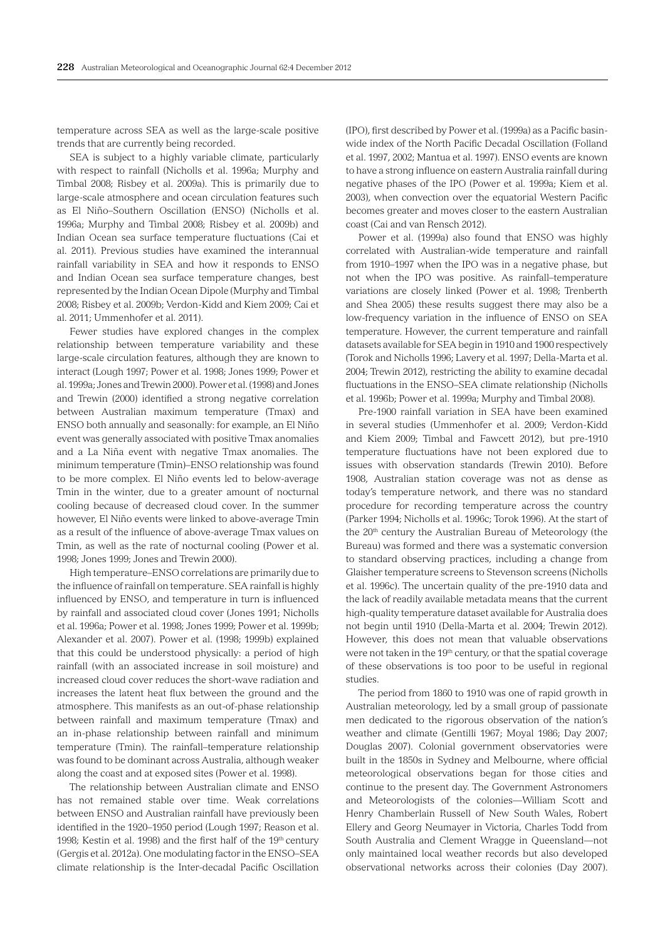temperature across SEA as well as the large-scale positive trends that are currently being recorded.

SEA is subject to a highly variable climate, particularly with respect to rainfall (Nicholls et al. 1996a; Murphy and Timbal 2008; Risbey et al. 2009a). This is primarily due to large-scale atmosphere and ocean circulation features such as El Niño–Southern Oscillation (ENSO) (Nicholls et al. 1996a; Murphy and Timbal 2008; Risbey et al. 2009b) and Indian Ocean sea surface temperature fluctuations (Cai et al. 2011). Previous studies have examined the interannual rainfall variability in SEA and how it responds to ENSO and Indian Ocean sea surface temperature changes, best represented by the Indian Ocean Dipole (Murphy and Timbal 2008; Risbey et al. 2009b; Verdon-Kidd and Kiem 2009; Cai et al. 2011; Ummenhofer et al. 2011).

Fewer studies have explored changes in the complex relationship between temperature variability and these large-scale circulation features, although they are known to interact (Lough 1997; Power et al. 1998; Jones 1999; Power et al. 1999a; Jones and Trewin 2000). Power et al. (1998) and Jones and Trewin (2000) identified a strong negative correlation between Australian maximum temperature (Tmax) and ENSO both annually and seasonally: for example, an El Niño event was generally associated with positive Tmax anomalies and a La Niña event with negative Tmax anomalies. The minimum temperature (Tmin)–ENSO relationship was found to be more complex. El Niño events led to below-average Tmin in the winter, due to a greater amount of nocturnal cooling because of decreased cloud cover. In the summer however, El Niño events were linked to above-average Tmin as a result of the influence of above-average Tmax values on Tmin, as well as the rate of nocturnal cooling (Power et al. 1998; Jones 1999; Jones and Trewin 2000).

High temperature–ENSO correlations are primarily due to the influence of rainfall on temperature. SEA rainfall is highly influenced by ENSO, and temperature in turn is influenced by rainfall and associated cloud cover (Jones 1991; Nicholls et al. 1996a; Power et al. 1998; Jones 1999; Power et al. 1999b; Alexander et al. 2007). Power et al. (1998; 1999b) explained that this could be understood physically: a period of high rainfall (with an associated increase in soil moisture) and increased cloud cover reduces the short-wave radiation and increases the latent heat flux between the ground and the atmosphere. This manifests as an out-of-phase relationship between rainfall and maximum temperature (Tmax) and an in-phase relationship between rainfall and minimum temperature (Tmin). The rainfall–temperature relationship was found to be dominant across Australia, although weaker along the coast and at exposed sites (Power et al. 1998).

The relationship between Australian climate and ENSO has not remained stable over time. Weak correlations between ENSO and Australian rainfall have previously been identified in the 1920–1950 period (Lough 1997; Reason et al. 1998: Kestin et al. 1998) and the first half of the 19<sup>th</sup> century (Gergis et al. 2012a). One modulating factor in the ENSO–SEA climate relationship is the Inter-decadal Pacific Oscillation

(IPO), first described by Power et al. (1999a) as a Pacific basinwide index of the North Pacific Decadal Oscillation (Folland et al. 1997, 2002; Mantua et al. 1997). ENSO events are known to have a strong influence on eastern Australia rainfall during negative phases of the IPO (Power et al. 1999a; Kiem et al. 2003), when convection over the equatorial Western Pacific becomes greater and moves closer to the eastern Australian coast (Cai and van Rensch 2012).

Power et al. (1999a) also found that ENSO was highly correlated with Australian-wide temperature and rainfall from 1910–1997 when the IPO was in a negative phase, but not when the IPO was positive. As rainfall–temperature variations are closely linked (Power et al. 1998; Trenberth and Shea 2005) these results suggest there may also be a low-frequency variation in the influence of ENSO on SEA temperature. However, the current temperature and rainfall datasets available for SEA begin in 1910 and 1900 respectively (Torok and Nicholls 1996; Lavery et al. 1997; Della-Marta et al. 2004; Trewin 2012), restricting the ability to examine decadal fluctuations in the ENSO–SEA climate relationship (Nicholls et al. 1996b; Power et al. 1999a; Murphy and Timbal 2008).

Pre-1900 rainfall variation in SEA have been examined in several studies (Ummenhofer et al. 2009; Verdon-Kidd and Kiem 2009; Timbal and Fawcett 2012), but pre-1910 temperature fluctuations have not been explored due to issues with observation standards (Trewin 2010). Before 1908, Australian station coverage was not as dense as today's temperature network, and there was no standard procedure for recording temperature across the country (Parker 1994; Nicholls et al. 1996c; Torok 1996). At the start of the 20<sup>th</sup> century the Australian Bureau of Meteorology (the Bureau) was formed and there was a systematic conversion to standard observing practices, including a change from Glaisher temperature screens to Stevenson screens (Nicholls et al. 1996c). The uncertain quality of the pre-1910 data and the lack of readily available metadata means that the current high-quality temperature dataset available for Australia does not begin until 1910 (Della-Marta et al. 2004; Trewin 2012). However, this does not mean that valuable observations were not taken in the 19<sup>th</sup> century, or that the spatial coverage of these observations is too poor to be useful in regional studies.

The period from 1860 to 1910 was one of rapid growth in Australian meteorology, led by a small group of passionate men dedicated to the rigorous observation of the nation's weather and climate (Gentilli 1967; Moyal 1986; Day 2007; Douglas 2007). Colonial government observatories were built in the 1850s in Sydney and Melbourne, where official meteorological observations began for those cities and continue to the present day. The Government Astronomers and Meteorologists of the colonies—William Scott and Henry Chamberlain Russell of New South Wales, Robert Ellery and Georg Neumayer in Victoria, Charles Todd from South Australia and Clement Wragge in Queensland—not only maintained local weather records but also developed observational networks across their colonies (Day 2007).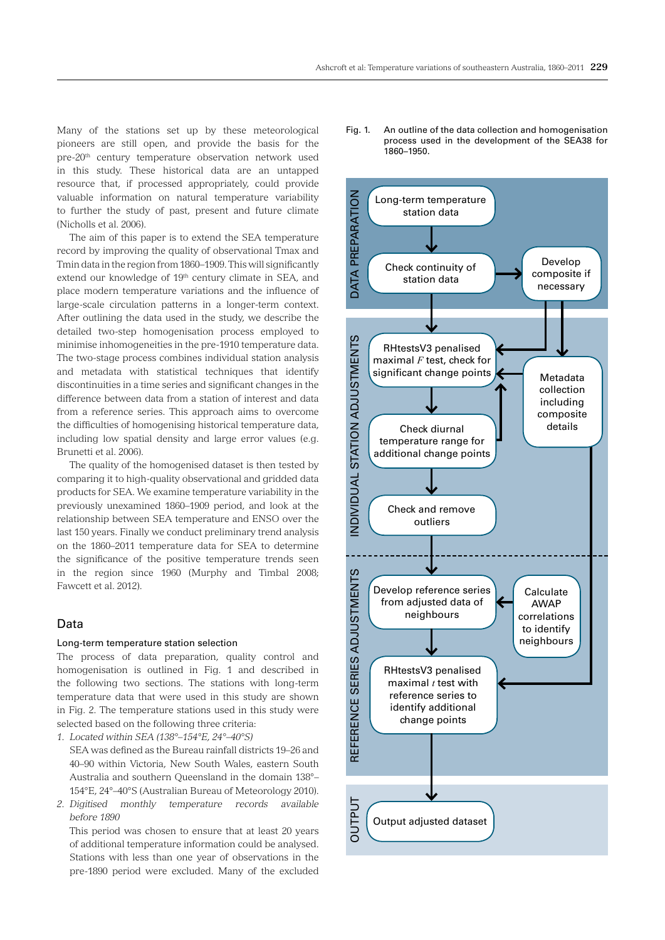Many of the stations set up by these meteorological pioneers are still open, and provide the basis for the pre-20th century temperature observation network used in this study. These historical data are an untapped resource that, if processed appropriately, could provide valuable information on natural temperature variability to further the study of past, present and future climate (Nicholls et al. 2006).

The aim of this paper is to extend the SEA temperature record by improving the quality of observational Tmax and Tmin data in the region from 1860–1909. This will significantly extend our knowledge of 19<sup>th</sup> century climate in SEA, and place modern temperature variations and the influence of large-scale circulation patterns in a longer-term context. After outlining the data used in the study, we describe the detailed two-step homogenisation process employed to minimise inhomogeneities in the pre-1910 temperature data. The two-stage process combines individual station analysis and metadata with statistical techniques that identify discontinuities in a time series and significant changes in the difference between data from a station of interest and data from a reference series. This approach aims to overcome the difficulties of homogenising historical temperature data, including low spatial density and large error values (e.g. Brunetti et al. 2006).

The quality of the homogenised dataset is then tested by comparing it to high-quality observational and gridded data products for SEA. We examine temperature variability in the previously unexamined 1860–1909 period, and look at the relationship between SEA temperature and ENSO over the last 150 years. Finally we conduct preliminary trend analysis on the 1860–2011 temperature data for SEA to determine the significance of the positive temperature trends seen in the region since 1960 (Murphy and Timbal 2008; Fawcett et al. 2012).

## Data

#### Long-term temperature station selection

The process of data preparation, quality control and homogenisation is outlined in Fig. 1 and described in the following two sections. The stations with long-term temperature data that were used in this study are shown in Fig. 2. The temperature stations used in this study were selected based on the following three criteria:

*1. Located within SEA (138°–154°E, 24°–40°S)* 

SEA was defined as the Bureau rainfall districts 19–26 and 40–90 within Victoria, New South Wales, eastern South Australia and southern Queensland in the domain 138°– 154°E, 24°–40°S (Australian Bureau of Meteorology 2010).

*2. Digitised monthly temperature records available before 1890* 

This period was chosen to ensure that at least 20 years of additional temperature information could be analysed. Stations with less than one year of observations in the pre-1890 period were excluded. Many of the excluded

Fig. 1. An outline of the data collection and homogenisation process used in the development of the SEA38 for 1860–1950.

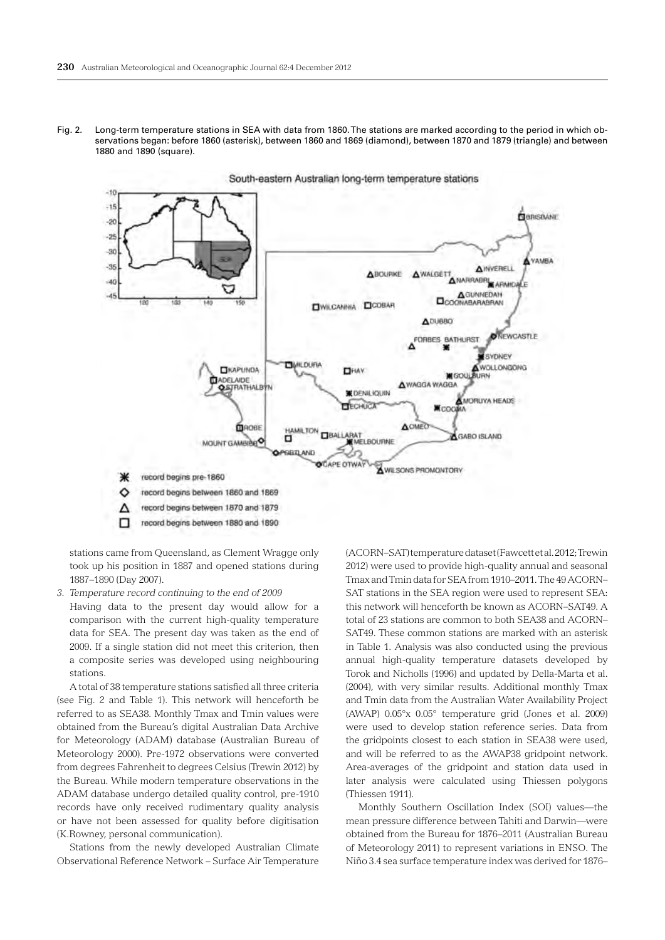Fig. 2. Long-term temperature stations in SEA with data from 1860. The stations are marked according to the period in which observations began: before 1860 (asterisk), between 1860 and 1869 (diamond), between 1870 and 1879 (triangle) and between 1880 and 1890 (square).



stations came from Queensland, as Clement Wragge only took up his position in 1887 and opened stations during 1887–1890 (Day 2007).

*3. Temperature record continuing to the end of 2009*

Having data to the present day would allow for a comparison with the current high-quality temperature data for SEA. The present day was taken as the end of 2009. If a single station did not meet this criterion, then a composite series was developed using neighbouring stations.

A total of 38 temperature stations satisfied all three criteria (see Fig. 2 and Table 1). This network will henceforth be referred to as SEA38. Monthly Tmax and Tmin values were obtained from the Bureau's digital Australian Data Archive for Meteorology (ADAM) database (Australian Bureau of Meteorology 2000). Pre-1972 observations were converted from degrees Fahrenheit to degrees Celsius (Trewin 2012) by the Bureau. While modern temperature observations in the ADAM database undergo detailed quality control, pre-1910 records have only received rudimentary quality analysis or have not been assessed for quality before digitisation (K.Rowney, personal communication).

Stations from the newly developed Australian Climate Observational Reference Network – Surface Air Temperature

(ACORN–SAT) temperature dataset (Fawcett et al. 2012; Trewin 2012) were used to provide high-quality annual and seasonal Tmax and Tmin data for SEA from 1910–2011. The 49 ACORN– SAT stations in the SEA region were used to represent SEA: this network will henceforth be known as ACORN–SAT49. A total of 23 stations are common to both SEA38 and ACORN– SAT49. These common stations are marked with an asterisk in Table 1. Analysis was also conducted using the previous annual high-quality temperature datasets developed by Torok and Nicholls (1996) and updated by Della-Marta et al. (2004), with very similar results. Additional monthly Tmax and Tmin data from the Australian Water Availability Project (AWAP) 0.05°x 0.05° temperature grid (Jones et al. 2009) were used to develop station reference series. Data from the gridpoints closest to each station in SEA38 were used, and will be referred to as the AWAP38 gridpoint network. Area-averages of the gridpoint and station data used in later analysis were calculated using Thiessen polygons (Thiessen 1911).

Monthly Southern Oscillation Index (SOI) values—the mean pressure difference between Tahiti and Darwin—were obtained from the Bureau for 1876–2011 (Australian Bureau of Meteorology 2011) to represent variations in ENSO. The Niño 3.4 sea surface temperature index was derived for 1876–

South-eastern Australian long-term temperature stations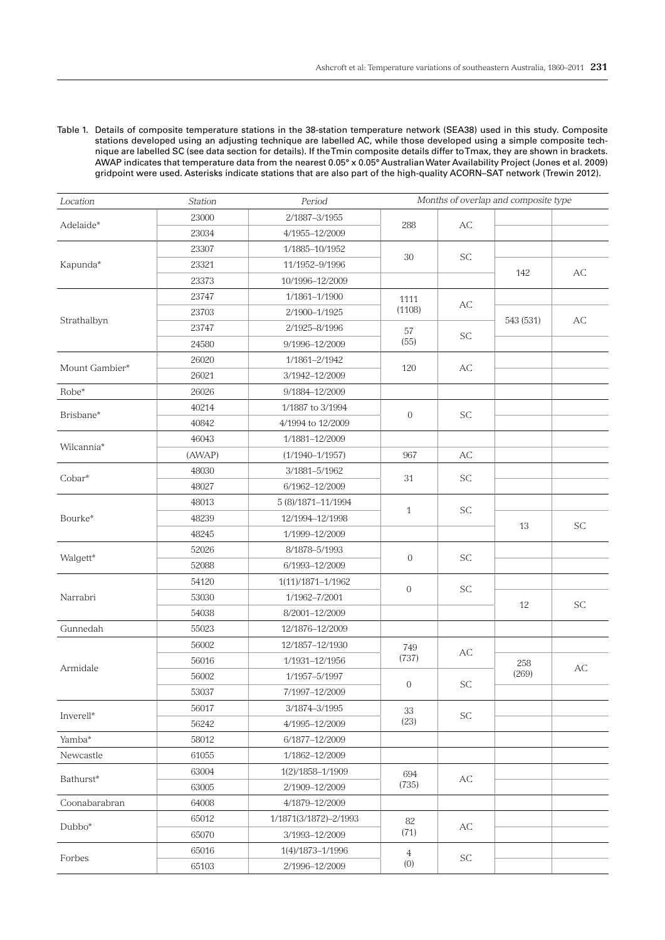Table 1. Details of composite temperature stations in the 38-station temperature network (SEA38) used in this study. Composite stations developed using an adjusting technique are labelled AC , while those developed using a simple composite technique are labelled SC (see data section for details). If the Tmin composite details differ to Tmax, they are shown in brackets. AWAP indicates that temperature data from the nearest 0.05° x 0.05° Australian Water Availability Project (Jones et al. 2009) gridpoint were used. Asterisks indicate stations that are also part of the high-quality ACORN –SAT network (Trewin 2012).

| Location          | <b>Station</b> | Period                | Months of overlap and composite type |                             |           |                             |
|-------------------|----------------|-----------------------|--------------------------------------|-----------------------------|-----------|-----------------------------|
|                   | 23000          | 2/1887-3/1955         |                                      |                             |           |                             |
| Adelaide*         | 23034          | 4/1955-12/2009        | 288                                  | AC                          |           |                             |
|                   | 23307          | 1/1885-10/1952        |                                      |                             |           |                             |
| Kapunda*          | 23321          | 11/1952-9/1996        | 30                                   | <b>SC</b>                   |           |                             |
|                   | 23373          | 10/1996-12/2009       |                                      |                             | 142       | AC                          |
|                   | 23747          | 1/1861-1/1900         | 1111                                 |                             |           |                             |
|                   | 23703          | 2/1900-1/1925         | (1108)                               | AC                          | 543 (531) |                             |
| Strathalbyn       | 23747          | 2/1925-8/1996         | 57                                   |                             |           | AC                          |
|                   | 24580          | 9/1996-12/2009        | (55)                                 | $\protect\operatorname{SC}$ |           |                             |
|                   | 26020          | 1/1861-2/1942         |                                      |                             |           |                             |
| Mount Gambier*    | 26021          | 3/1942-12/2009        | 120                                  | AC                          |           |                             |
| $\mathrm{Robe}^*$ | 26026          | 9/1884-12/2009        |                                      |                             |           |                             |
|                   | 40214          | 1/1887 to 3/1994      |                                      |                             |           |                             |
| Brisbane*         | 40842          | 4/1994 to 12/2009     | $\mathbf{0}$                         | <b>SC</b>                   |           |                             |
|                   | 46043          | 1/1881-12/2009        |                                      |                             |           |                             |
| Wilcannia*        | (AWAP)         | $(1/1940 - 1/1957)$   | 967                                  | AC                          |           |                             |
| Cobar*            | 48030          | 3/1881-5/1962         |                                      |                             |           |                             |
|                   | 48027          | 6/1962-12/2009        | 31                                   | $\protect\operatorname{SC}$ |           |                             |
|                   | 48013          | 5 (8)/1871-11/1994    |                                      |                             |           |                             |
| Bourke*           | 48239          | 12/1994-12/1998       | $\mathbf{1}$                         | <b>SC</b>                   |           |                             |
|                   | 48245          | 1/1999-12/2009        |                                      |                             | 13        | SC                          |
|                   | 52026          | 8/1878-5/1993         |                                      |                             |           |                             |
| Walgett*          | 52088          | 6/1993-12/2009        | $\overline{0}$                       | <b>SC</b>                   |           |                             |
|                   | 54120          | 1(11)/1871-1/1962     |                                      |                             |           |                             |
| Narrabri          | 53030          | 1/1962-7/2001         | $\overline{0}$                       | <b>SC</b>                   |           |                             |
|                   | 54038          | 8/2001-12/2009        |                                      |                             | 12        | $\protect\operatorname{SC}$ |
| Gunnedah          | 55023          | 12/1876-12/2009       |                                      |                             |           |                             |
|                   | 56002          | 12/1857-12/1930       | 749                                  |                             |           |                             |
|                   | 56016          | 1/1931-12/1956        | (737)                                | АC                          | 258       |                             |
| Armidale          | 56002          | 1/1957-5/1997         |                                      |                             | (269)     | AC                          |
|                   | 53037          | 7/1997-12/2009        | $\mathbf{0}$                         | SC                          |           |                             |
|                   | 56017          | 3/1874-3/1995         | 33                                   |                             |           |                             |
| Inverell*         | 56242          | 4/1995-12/2009        | (23)                                 | SC                          |           |                             |
| Yamba*            | 58012          | 6/1877-12/2009        |                                      |                             |           |                             |
| Newcastle         | 61055          | 1/1862-12/2009        |                                      |                             |           |                             |
|                   | 63004          | 1(2)/1858-1/1909      | 694                                  |                             |           |                             |
| Bathurst*         | 63005          | 2/1909-12/2009        | (735)                                | AC                          |           |                             |
| Coonabarabran     | 64008          | 4/1879-12/2009        |                                      |                             |           |                             |
|                   | 65012          | 1/1871(3/1872)-2/1993 | 82                                   | АC                          |           |                             |
| Dubbo*            | 65070          | 3/1993-12/2009        | (71)                                 |                             |           |                             |
|                   | 65016          | 1(4)/1873-1/1996      | $\overline{4}$                       |                             |           |                             |
| Forbes            | 65103          | 2/1996-12/2009        | (0)                                  | SC                          |           |                             |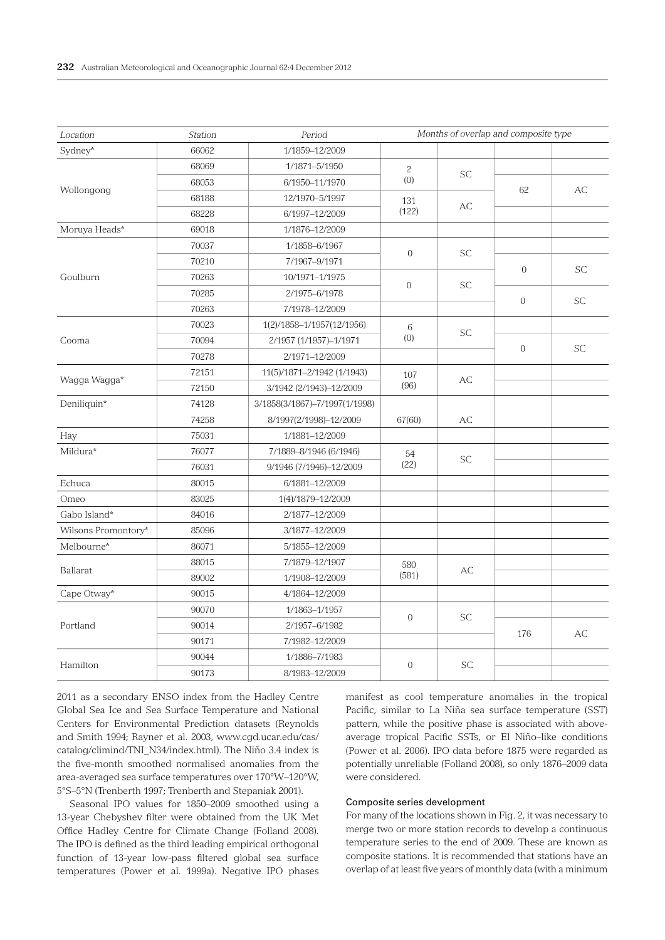| Location            | Station | Period                        | Months of overlap and composite type |                             |                |           |  |
|---------------------|---------|-------------------------------|--------------------------------------|-----------------------------|----------------|-----------|--|
| Sydney*             | 66062   | 1/1859-12/2009                |                                      |                             |                |           |  |
|                     | 68069   | 1/1871-5/1950                 | $\overline{c}$                       | <b>SC</b>                   |                |           |  |
| Wollongong          | 68053   | 6/1950-11/1970                | (0)                                  |                             | 62             | AC        |  |
|                     | 68188   | 12/1970-5/1997                | 131                                  | AC                          |                |           |  |
|                     | 68228   | 6/1997-12/2009                | (122)                                |                             |                |           |  |
| Moruya Heads*       | 69018   | 1/1876-12/2009                |                                      |                             |                |           |  |
|                     | 70037   | 1/1858-6/1967                 | $\overline{0}$                       | <b>SC</b>                   |                |           |  |
|                     | 70210   | 7/1967-9/1971                 |                                      |                             |                | <b>SC</b> |  |
| Goulburn            | 70263   | 10/1971-1/1975                | $\Omega$                             | SC.                         | $\mathbf{0}$   |           |  |
|                     | 70285   | 2/1975-6/1978                 |                                      |                             | $\overline{0}$ |           |  |
|                     | 70263   | 7/1978-12/2009                |                                      |                             |                | <b>SC</b> |  |
|                     | 70023   | 1(2)/1858-1/1957(12/1956)     | 6                                    |                             |                |           |  |
| Cooma               | 70094   | 2/1957 (1/1957)-1/1971        | (0)                                  | <b>SC</b>                   |                |           |  |
|                     | 70278   | 2/1971-12/2009                |                                      |                             | $\mathbf 0$    | <b>SC</b> |  |
|                     | 72151   | 11(5)/1871-2/1942 (1/1943)    | 107                                  |                             |                |           |  |
| Wagga Wagga*        | 72150   | 3/1942 (2/1943)-12/2009       | (96)                                 | AC                          |                |           |  |
| Deniliquin*         | 74128   | 3/1858(3/1867)-7/1997(1/1998) |                                      |                             |                |           |  |
|                     | 74258   | 8/1997(2/1998)-12/2009        | 67(60)                               | АC                          |                |           |  |
| Hay                 | 75031   | 1/1881-12/2009                |                                      |                             |                |           |  |
| Mildura*            | 76077   | 7/1889-8/1946 (6/1946)        | 54                                   | <b>SC</b>                   |                |           |  |
|                     | 76031   | 9/1946 (7/1946)-12/2009       | (22)                                 |                             |                |           |  |
| Echuca              | 80015   | 6/1881-12/2009                |                                      |                             |                |           |  |
| Omeo                | 83025   | 1(4)/1879-12/2009             |                                      |                             |                |           |  |
| Gabo Island*        | 84016   | 2/1877-12/2009                |                                      |                             |                |           |  |
| Wilsons Promontory* | 85096   | 3/1877-12/2009                |                                      |                             |                |           |  |
| Melbourne*          | 86071   | 5/1855-12/2009                |                                      |                             |                |           |  |
|                     | 88015   | 7/1879-12/1907                | 580                                  |                             |                |           |  |
| Ballarat            | 89002   | 1/1908-12/2009                | (581)                                | AC                          |                |           |  |
| Cape Otway*         | 90015   | 4/1864-12/2009                |                                      |                             |                |           |  |
|                     | 90070   | 1/1863-1/1957                 |                                      | <b>SC</b>                   |                |           |  |
| Portland            | 90014   | 2/1957-6/1982                 | $\mathbf{0}$                         |                             |                |           |  |
|                     | 90171   | 7/1982-12/2009                |                                      |                             | 176            | АC        |  |
|                     | 90044   | 1/1886-7/1983                 | $\overline{0}$                       |                             |                |           |  |
| Hamilton            | 90173   | 8/1983-12/2009                |                                      | $\protect\operatorname{SC}$ |                |           |  |

2011 as a secondary ENSO index from the Hadley Centre Global Sea Ice and Sea Surface Temperature and National Centers for Environmental Prediction datasets (Reynolds and Smith 1994; Rayner et al. 2003, www.cgd.ucar.edu/cas/ catalog/climind/TNI\_N34/index.html). The Niño 3.4 index is the five-month smoothed normalised anomalies from the area-averaged sea surface temperatures over 170°W–120°W, 5°S–5°N (Trenberth 1997; Trenberth and Stepaniak 2001).

Seasonal IPO values for 1850–2009 smoothed using a 13-year Chebyshev filter were obtained from the UK Met Office Hadley Centre for Climate Change (Folland 2008). The IPO is defined as the third leading empirical orthogonal function of 13-year low-pass filtered global sea surface temperatures (Power et al. 1999a). Negative IPO phases

manifest as cool temperature anomalies in the tropical Pacific, similar to La Niña sea surface temperature (SST) pattern, while the positive phase is associated with aboveaverage tropical Pacific SSTs, or El Niño–like conditions (Power et al. 2006). IPO data before 1875 were regarded as potentially unreliable (Folland 2008), so only 1876–2009 data were considered.

### Composite series development

For many of the locations shown in Fig. 2, it was necessary to merge two or more station records to develop a continuous temperature series to the end of 2009. These are known as composite stations. It is recommended that stations have an overlap of at least five years of monthly data (with a minimum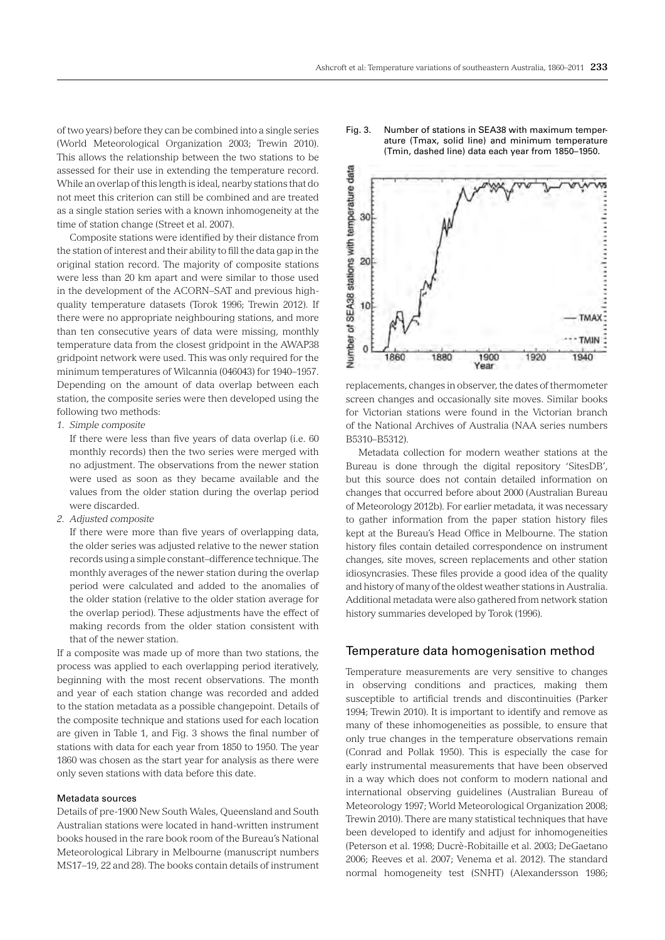of two years) before they can be combined into a single series (World Meteorological Organization 2003; Trewin 2010). This allows the relationship between the two stations to be assessed for their use in extending the temperature record. While an overlap of this length is ideal, nearby stations that do not meet this criterion can still be combined and are treated as a single station series with a known inhomogeneity at the time of station change (Street et al. 2007).

Composite stations were identified by their distance from the station of interest and their ability to fill the data gap in the original station record. The majority of composite stations were less than 20 km apart and were similar to those used in the development of the ACORN–SAT and previous highquality temperature datasets (Torok 1996; Trewin 2012). If there were no appropriate neighbouring stations, and more than ten consecutive years of data were missing, monthly temperature data from the closest gridpoint in the AWAP38 gridpoint network were used. This was only required for the minimum temperatures of Wilcannia (046043) for 1940–1957. Depending on the amount of data overlap between each station, the composite series were then developed using the following two methods:

*1. Simple composite*

If there were less than five years of data overlap (i.e. 60 monthly records) then the two series were merged with no adjustment. The observations from the newer station were used as soon as they became available and the values from the older station during the overlap period were discarded.

*2. Adjusted composite*

If there were more than five years of overlapping data, the older series was adjusted relative to the newer station records using a simple constant–difference technique. The monthly averages of the newer station during the overlap period were calculated and added to the anomalies of the older station (relative to the older station average for the overlap period). These adjustments have the effect of making records from the older station consistent with that of the newer station.

If a composite was made up of more than two stations, the process was applied to each overlapping period iteratively, beginning with the most recent observations. The month and year of each station change was recorded and added to the station metadata as a possible changepoint. Details of the composite technique and stations used for each location are given in Table 1, and Fig. 3 shows the final number of stations with data for each year from 1850 to 1950. The year 1860 was chosen as the start year for analysis as there were only seven stations with data before this date.

#### Metadata sources

Details of pre-1900 New South Wales, Queensland and South Australian stations were located in hand-written instrument books housed in the rare book room of the Bureau's National Meteorological Library in Melbourne (manuscript numbers MS17–19, 22 and 28). The books contain details of instrument





replacements, changes in observer, the dates of thermometer screen changes and occasionally site moves. Similar books for Victorian stations were found in the Victorian branch of the National Archives of Australia (NAA series numbers B5310–B5312).

Metadata collection for modern weather stations at the Bureau is done through the digital repository 'SitesDB', but this source does not contain detailed information on changes that occurred before about 2000 (Australian Bureau of Meteorology 2012b). For earlier metadata, it was necessary to gather information from the paper station history files kept at the Bureau's Head Office in Melbourne. The station history files contain detailed correspondence on instrument changes, site moves, screen replacements and other station idiosyncrasies. These files provide a good idea of the quality and history of many of the oldest weather stations in Australia. Additional metadata were also gathered from network station history summaries developed by Torok (1996).

## Temperature data homogenisation method

Temperature measurements are very sensitive to changes in observing conditions and practices, making them susceptible to artificial trends and discontinuities (Parker 1994; Trewin 2010). It is important to identify and remove as many of these inhomogeneities as possible, to ensure that only true changes in the temperature observations remain (Conrad and Pollak 1950). This is especially the case for early instrumental measurements that have been observed in a way which does not conform to modern national and international observing guidelines (Australian Bureau of Meteorology 1997; World Meteorological Organization 2008; Trewin 2010). There are many statistical techniques that have been developed to identify and adjust for inhomogeneities (Peterson et al. 1998; Ducrè-Robitaille et al. 2003; DeGaetano 2006; Reeves et al. 2007; Venema et al. 2012). The standard normal homogeneity test (SNHT) (Alexandersson 1986;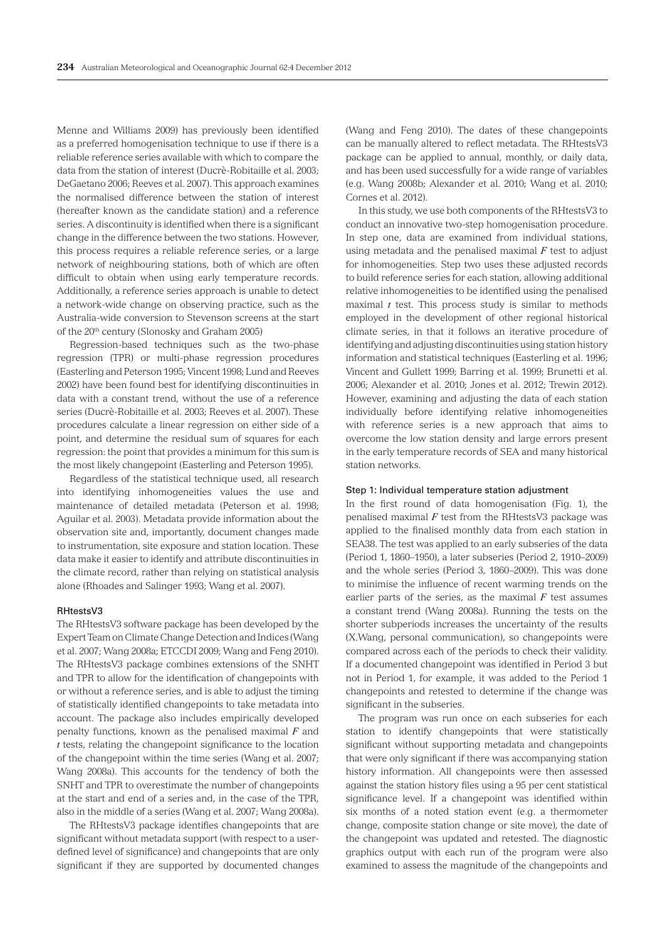Menne and Williams 2009) has previously been identified as a preferred homogenisation technique to use if there is a reliable reference series available with which to compare the data from the station of interest (Ducrè-Robitaille et al. 2003; DeGaetano 2006; Reeves et al. 2007). This approach examines the normalised difference between the station of interest (hereafter known as the candidate station) and a reference series. A discontinuity is identified when there is a significant change in the difference between the two stations. However, this process requires a reliable reference series, or a large network of neighbouring stations, both of which are often difficult to obtain when using early temperature records. Additionally, a reference series approach is unable to detect a network-wide change on observing practice, such as the Australia-wide conversion to Stevenson screens at the start of the 20<sup>th</sup> century (Slonosky and Graham 2005)

Regression-based techniques such as the two-phase regression (TPR) or multi-phase regression procedures (Easterling and Peterson 1995; Vincent 1998; Lund and Reeves 2002) have been found best for identifying discontinuities in data with a constant trend, without the use of a reference series (Ducrè-Robitaille et al. 2003; Reeves et al. 2007). These procedures calculate a linear regression on either side of a point, and determine the residual sum of squares for each regression: the point that provides a minimum for this sum is the most likely changepoint (Easterling and Peterson 1995).

Regardless of the statistical technique used, all research into identifying inhomogeneities values the use and maintenance of detailed metadata (Peterson et al. 1998; Aguilar et al. 2003). Metadata provide information about the observation site and, importantly, document changes made to instrumentation, site exposure and station location. These data make it easier to identify and attribute discontinuities in the climate record, rather than relying on statistical analysis alone (Rhoades and Salinger 1993; Wang et al. 2007).

#### RHtestsV3

The RHtestsV3 software package has been developed by the Expert Team on Climate Change Detection and Indices (Wang et al. 2007; Wang 2008a; ETCCDI 2009; Wang and Feng 2010). The RHtestsV3 package combines extensions of the SNHT and TPR to allow for the identification of changepoints with or without a reference series, and is able to adjust the timing of statistically identified changepoints to take metadata into account. The package also includes empirically developed penalty functions, known as the penalised maximal *F* and *t* tests, relating the changepoint significance to the location of the changepoint within the time series (Wang et al. 2007; Wang 2008a). This accounts for the tendency of both the SNHT and TPR to overestimate the number of changepoints at the start and end of a series and, in the case of the TPR, also in the middle of a series (Wang et al. 2007; Wang 2008a).

The RHtestsV3 package identifies changepoints that are significant without metadata support (with respect to a userdefined level of significance) and changepoints that are only significant if they are supported by documented changes (Wang and Feng 2010). The dates of these changepoints can be manually altered to reflect metadata. The RHtestsV3 package can be applied to annual, monthly, or daily data, and has been used successfully for a wide range of variables (e.g. Wang 2008b; Alexander et al. 2010; Wang et al. 2010; Cornes et al. 2012).

In this study, we use both components of the RHtestsV3 to conduct an innovative two-step homogenisation procedure. In step one, data are examined from individual stations, using metadata and the penalised maximal *F* test to adjust for inhomogeneities. Step two uses these adjusted records to build reference series for each station, allowing additional relative inhomogeneities to be identified using the penalised maximal *t* test. This process study is similar to methods employed in the development of other regional historical climate series, in that it follows an iterative procedure of identifying and adjusting discontinuities using station history information and statistical techniques (Easterling et al. 1996; Vincent and Gullett 1999; Barring et al. 1999; Brunetti et al. 2006; Alexander et al. 2010; Jones et al. 2012; Trewin 2012). However, examining and adjusting the data of each station individually before identifying relative inhomogeneities with reference series is a new approach that aims to overcome the low station density and large errors present in the early temperature records of SEA and many historical station networks.

#### Step 1: Individual temperature station adjustment

In the first round of data homogenisation (Fig. 1), the penalised maximal *F* test from the RHtestsV3 package was applied to the finalised monthly data from each station in SEA38. The test was applied to an early subseries of the data (Period 1, 1860–1950), a later subseries (Period 2, 1910–2009) and the whole series (Period 3, 1860–2009). This was done to minimise the influence of recent warming trends on the earlier parts of the series, as the maximal  $F$  test assumes a constant trend (Wang 2008a). Running the tests on the shorter subperiods increases the uncertainty of the results (X.Wang, personal communication), so changepoints were compared across each of the periods to check their validity. If a documented changepoint was identified in Period 3 but not in Period 1, for example, it was added to the Period 1 changepoints and retested to determine if the change was significant in the subseries.

The program was run once on each subseries for each station to identify changepoints that were statistically significant without supporting metadata and changepoints that were only significant if there was accompanying station history information. All changepoints were then assessed against the station history files using a 95 per cent statistical significance level. If a changepoint was identified within six months of a noted station event (e.g. a thermometer change, composite station change or site move), the date of the changepoint was updated and retested. The diagnostic graphics output with each run of the program were also examined to assess the magnitude of the changepoints and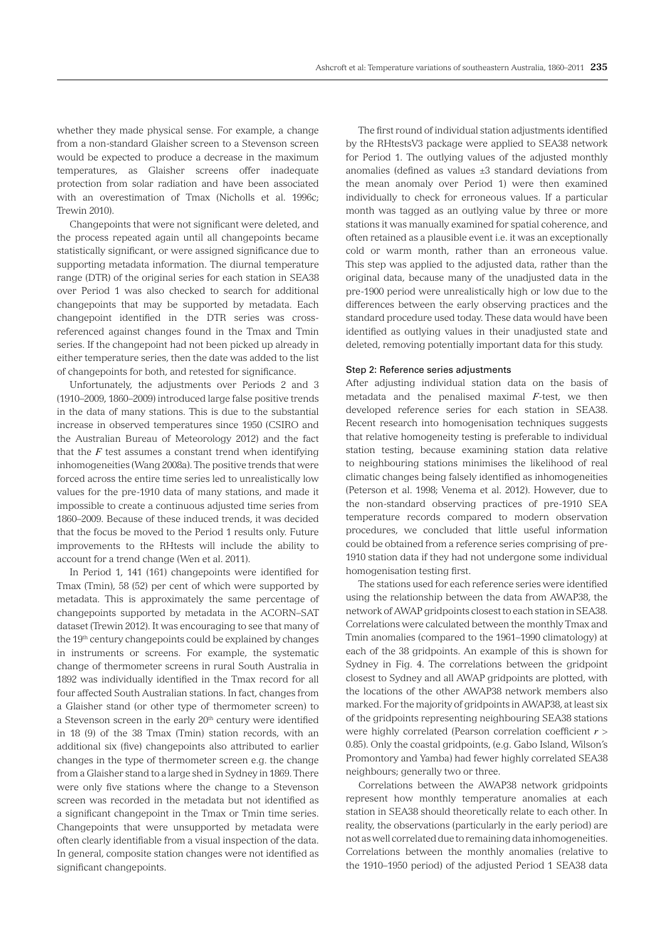whether they made physical sense. For example, a change from a non-standard Glaisher screen to a Stevenson screen would be expected to produce a decrease in the maximum temperatures, as Glaisher screens offer inadequate protection from solar radiation and have been associated with an overestimation of Tmax (Nicholls et al. 1996c; Trewin 2010).

Changepoints that were not significant were deleted, and the process repeated again until all changepoints became statistically significant, or were assigned significance due to supporting metadata information. The diurnal temperature range (DTR) of the original series for each station in SEA38 over Period 1 was also checked to search for additional changepoints that may be supported by metadata. Each changepoint identified in the DTR series was crossreferenced against changes found in the Tmax and Tmin series. If the changepoint had not been picked up already in either temperature series, then the date was added to the list of changepoints for both, and retested for significance.

Unfortunately, the adjustments over Periods 2 and 3 (1910–2009, 1860–2009) introduced large false positive trends in the data of many stations. This is due to the substantial increase in observed temperatures since 1950 (CSIRO and the Australian Bureau of Meteorology 2012) and the fact that the  $F$  test assumes a constant trend when identifying inhomogeneities (Wang 2008a). The positive trends that were forced across the entire time series led to unrealistically low values for the pre-1910 data of many stations, and made it impossible to create a continuous adjusted time series from 1860–2009. Because of these induced trends, it was decided that the focus be moved to the Period 1 results only. Future improvements to the RHtests will include the ability to account for a trend change (Wen et al. 2011).

In Period 1, 141 (161) changepoints were identified for Tmax (Tmin), 58 (52) per cent of which were supported by metadata. This is approximately the same percentage of changepoints supported by metadata in the ACORN–SAT dataset (Trewin 2012). It was encouraging to see that many of the 19<sup>th</sup> century changepoints could be explained by changes in instruments or screens. For example, the systematic change of thermometer screens in rural South Australia in 1892 was individually identified in the Tmax record for all four affected South Australian stations. In fact, changes from a Glaisher stand (or other type of thermometer screen) to a Stevenson screen in the early 20<sup>th</sup> century were identified in 18 (9) of the 38 Tmax (Tmin) station records, with an additional six (five) changepoints also attributed to earlier changes in the type of thermometer screen e.g. the change from a Glaisher stand to a large shed in Sydney in 1869. There were only five stations where the change to a Stevenson screen was recorded in the metadata but not identified as a significant changepoint in the Tmax or Tmin time series. Changepoints that were unsupported by metadata were often clearly identifiable from a visual inspection of the data. In general, composite station changes were not identified as significant changepoints.

The first round of individual station adjustments identified by the RHtestsV3 package were applied to SEA38 network for Period 1. The outlying values of the adjusted monthly anomalies (defined as values  $\pm 3$  standard deviations from the mean anomaly over Period 1) were then examined individually to check for erroneous values. If a particular month was tagged as an outlying value by three or more stations it was manually examined for spatial coherence, and often retained as a plausible event i.e. it was an exceptionally cold or warm month, rather than an erroneous value. This step was applied to the adjusted data, rather than the original data, because many of the unadjusted data in the pre-1900 period were unrealistically high or low due to the differences between the early observing practices and the standard procedure used today. These data would have been identified as outlying values in their unadjusted state and deleted, removing potentially important data for this study.

#### Step 2: Reference series adjustments

After adjusting individual station data on the basis of metadata and the penalised maximal *F*-test, we then developed reference series for each station in SEA38. Recent research into homogenisation techniques suggests that relative homogeneity testing is preferable to individual station testing, because examining station data relative to neighbouring stations minimises the likelihood of real climatic changes being falsely identified as inhomogeneities (Peterson et al. 1998; Venema et al. 2012). However, due to the non-standard observing practices of pre-1910 SEA temperature records compared to modern observation procedures, we concluded that little useful information could be obtained from a reference series comprising of pre-1910 station data if they had not undergone some individual homogenisation testing first.

The stations used for each reference series were identified using the relationship between the data from AWAP38, the network of AWAP gridpoints closest to each station in SEA38. Correlations were calculated between the monthly Tmax and Tmin anomalies (compared to the 1961–1990 climatology) at each of the 38 gridpoints. An example of this is shown for Sydney in Fig. 4. The correlations between the gridpoint closest to Sydney and all AWAP gridpoints are plotted, with the locations of the other AWAP38 network members also marked. For the majority of gridpoints in AWAP38, at least six of the gridpoints representing neighbouring SEA38 stations were highly correlated (Pearson correlation coefficient *r* > 0.85). Only the coastal gridpoints, (e.g. Gabo Island, Wilson's Promontory and Yamba) had fewer highly correlated SEA38 neighbours; generally two or three.

Correlations between the AWAP38 network gridpoints represent how monthly temperature anomalies at each station in SEA38 should theoretically relate to each other. In reality, the observations (particularly in the early period) are not as well correlated due to remaining data inhomogeneities. Correlations between the monthly anomalies (relative to the 1910–1950 period) of the adjusted Period 1 SEA38 data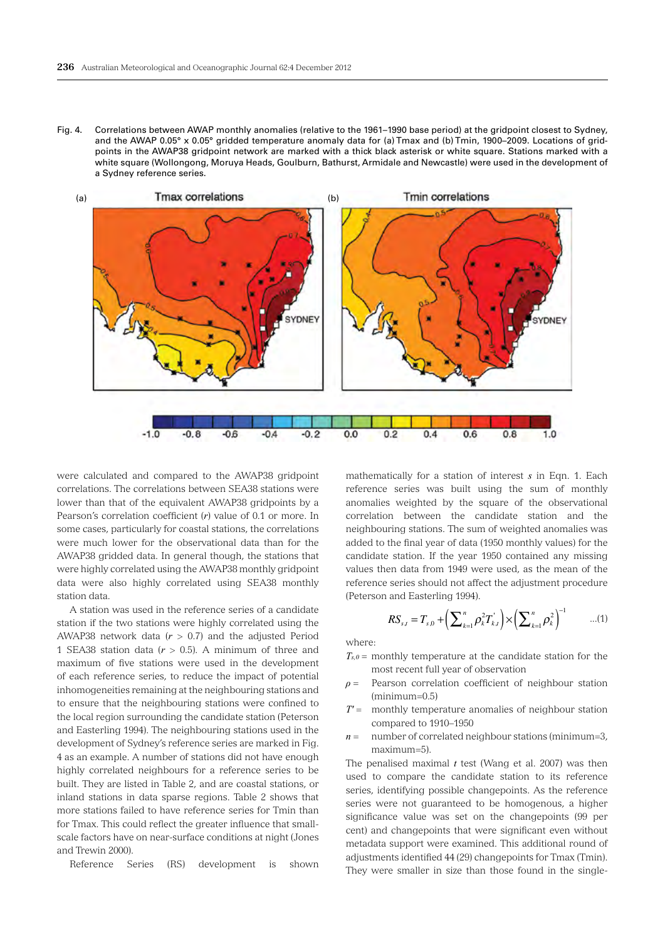Fig. 4. Correlations between AWAP monthly anomalies (relative to the 1961–1990 base period) at the gridpoint closest to Sydney, and the AWAP 0.05° x 0.05° gridded temperature anomaly data for (a) Tmax and (b) Tmin, 1900–2009. Locations of gridpoints in the AWAP38 gridpoint network are marked with a thick black asterisk or white square. Stations marked with a white square (Wollongong, Moruya Heads, Goulburn, Bathurst, Armidale and Newcastle) were used in the development of a Sydney reference series.



were calculated and compared to the AWAP38 gridpoint correlations. The correlations between SEA38 stations were lower than that of the equivalent AWAP38 gridpoints by a Pearson's correlation coefficient (*r*) value of 0.1 or more. In some cases, particularly for coastal stations, the correlations were much lower for the observational data than for the AWAP38 gridded data. In general though, the stations that were highly correlated using the AWAP38 monthly gridpoint data were also highly correlated using SEA38 monthly station data.

A station was used in the reference series of a candidate station if the two stations were highly correlated using the AWAP38 network data (*r* > 0.7) and the adjusted Period 1 SEA38 station data  $(r > 0.5)$ . A minimum of three and maximum of five stations were used in the development of each reference series, to reduce the impact of potential inhomogeneities remaining at the neighbouring stations and to ensure that the neighbouring stations were confined to the local region surrounding the candidate station (Peterson and Easterling 1994). The neighbouring stations used in the development of Sydney's reference series are marked in Fig. 4 as an example. A number of stations did not have enough highly correlated neighbours for a reference series to be built. They are listed in Table 2, and are coastal stations, or inland stations in data sparse regions. Table 2 shows that more stations failed to have reference series for Tmin than for Tmax. This could reflect the greater influence that smallscale factors have on near-surface conditions at night (Jones and Trewin 2000).

Reference Series (RS) development is shown

mathematically for a station of interest *s* in Eqn. 1. Each reference series was built using the sum of monthly anomalies weighted by the square of the observational correlation between the candidate station and the neighbouring stations. The sum of weighted anomalies was added to the final year of data (1950 monthly values) for the candidate station. If the year 1950 contained any missing values then data from 1949 were used, as the mean of the reference series should not affect the adjustment procedure (Peterson and Easterling 1994).

$$
RS_{s,t} = T_{s,0} + \left(\sum_{k=1}^{n} \rho_k^2 T_{k,t}^{\dagger}\right) \times \left(\sum_{k=1}^{n} \rho_k^2\right)^{-1} \qquad ...(1)
$$

where:

- *Ts,0* = monthly temperature at the candidate station for the most recent full year of observation
- *ρ* = Pearson correlation coefficient of neighbour station (minimum=0.5)
- *T'* = monthly temperature anomalies of neighbour station compared to 1910–1950
- *n* = number of correlated neighbour stations (minimum=3, maximum=5).

The penalised maximal  $t$  test (Wang et al. 2007) was then used to compare the candidate station to its reference series, identifying possible changepoints. As the reference series were not guaranteed to be homogenous, a higher significance value was set on the changepoints (99 per cent) and changepoints that were significant even without metadata support were examined. This additional round of adjustments identified 44 (29) changepoints for Tmax (Tmin). They were smaller in size than those found in the single-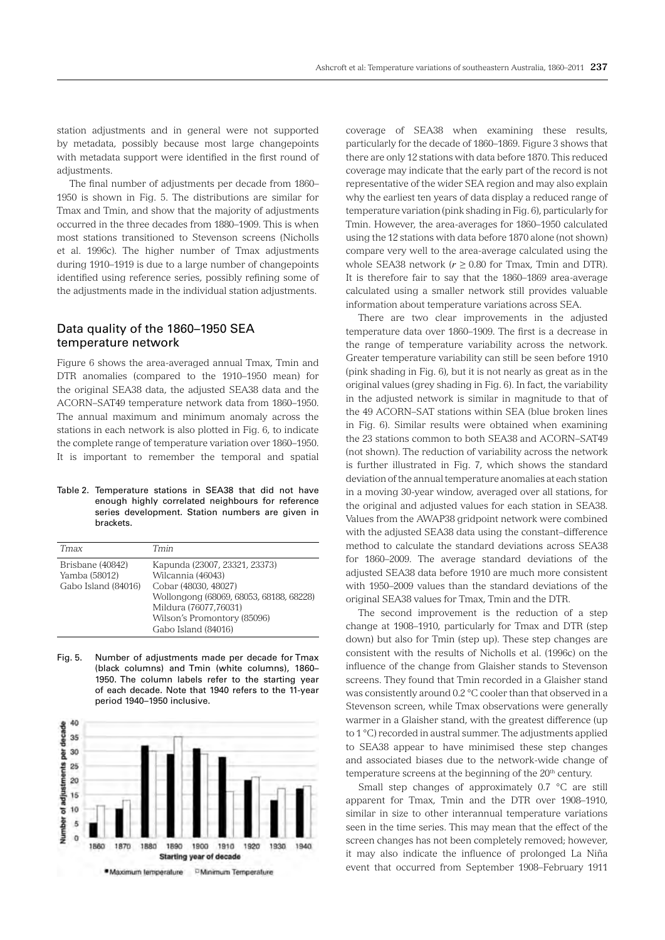station adjustments and in general were not supported by metadata, possibly because most large changepoints with metadata support were identified in the first round of adjustments.

The final number of adjustments per decade from 1860– 1950 is shown in Fig. 5. The distributions are similar for Tmax and Tmin, and show that the majority of adjustments occurred in the three decades from 1880–1909. This is when most stations transitioned to Stevenson screens (Nicholls et al. 1996c). The higher number of Tmax adjustments during 1910–1919 is due to a large number of changepoints identified using reference series, possibly refining some of the adjustments made in the individual station adjustments.

## Data quality of the 1860–1950 SEA temperature network

Figure 6 shows the area-averaged annual Tmax, Tmin and DTR anomalies (compared to the 1910–1950 mean) for the original SEA38 data, the adjusted SEA38 data and the ACORN–SAT49 temperature network data from 1860–1950. The annual maximum and minimum anomaly across the stations in each network is also plotted in Fig. 6, to indicate the complete range of temperature variation over 1860–1950. It is important to remember the temporal and spatial

#### Table 2. Temperature stations in SEA38 that did not have enough highly correlated neighbours for reference series development. Station numbers are given in brackets.

| Tmax                                                     | Tmin                                                                                                                                                                                                 |
|----------------------------------------------------------|------------------------------------------------------------------------------------------------------------------------------------------------------------------------------------------------------|
| Brisbane (40842)<br>Yamba (58012)<br>Gabo Island (84016) | Kapunda (23007, 23321, 23373)<br>Wilcannia (46043)<br>Cobar (48030, 48027)<br>Wollongong (68069, 68053, 68188, 68228)<br>Mildura (76077,76031)<br>Wilson's Promontory (85096)<br>Gabo Island (84016) |

Fig. 5. Number of adjustments made per decade for Tmax (black columns) and Tmin (white columns), 1860– 1950. The column labels refer to the starting year of each decade. Note that 1940 refers to the 11-year period 1940–1950 inclusive.



coverage of SEA38 when examining these results, particularly for the decade of 1860–1869. Figure 3 shows that there are only 12 stations with data before 1870. This reduced coverage may indicate that the early part of the record is not representative of the wider SEA region and may also explain why the earliest ten years of data display a reduced range of temperature variation (pink shading in Fig. 6), particularly for Tmin. However, the area-averages for 1860–1950 calculated using the 12 stations with data before 1870 alone (not shown) compare very well to the area-average calculated using the whole SEA38 network  $(r \ge 0.80$  for Tmax, Tmin and DTR). It is therefore fair to say that the 1860–1869 area-average calculated using a smaller network still provides valuable information about temperature variations across SEA.

There are two clear improvements in the adjusted temperature data over 1860–1909. The first is a decrease in the range of temperature variability across the network. Greater temperature variability can still be seen before 1910 (pink shading in Fig. 6), but it is not nearly as great as in the original values (grey shading in Fig. 6). In fact, the variability in the adjusted network is similar in magnitude to that of the 49 ACORN–SAT stations within SEA (blue broken lines in Fig. 6). Similar results were obtained when examining the 23 stations common to both SEA38 and ACORN–SAT49 (not shown). The reduction of variability across the network is further illustrated in Fig. 7, which shows the standard deviation of the annual temperature anomalies at each station in a moving 30-year window, averaged over all stations, for the original and adjusted values for each station in SEA38. Values from the AWAP38 gridpoint network were combined with the adjusted SEA38 data using the constant–difference method to calculate the standard deviations across SEA38 for 1860–2009. The average standard deviations of the adjusted SEA38 data before 1910 are much more consistent with 1950–2009 values than the standard deviations of the original SEA38 values for Tmax, Tmin and the DTR.

The second improvement is the reduction of a step change at 1908–1910, particularly for Tmax and DTR (step down) but also for Tmin (step up). These step changes are consistent with the results of Nicholls et al. (1996c) on the influence of the change from Glaisher stands to Stevenson screens. They found that Tmin recorded in a Glaisher stand was consistently around 0.2 °C cooler than that observed in a Stevenson screen, while Tmax observations were generally warmer in a Glaisher stand, with the greatest difference (up to 1 °C) recorded in austral summer. The adjustments applied to SEA38 appear to have minimised these step changes and associated biases due to the network-wide change of temperature screens at the beginning of the 20<sup>th</sup> century.

Small step changes of approximately 0.7 °C are still apparent for Tmax, Tmin and the DTR over 1908–1910, similar in size to other interannual temperature variations seen in the time series. This may mean that the effect of the screen changes has not been completely removed; however, it may also indicate the influence of prolonged La Niña event that occurred from September 1908–February 1911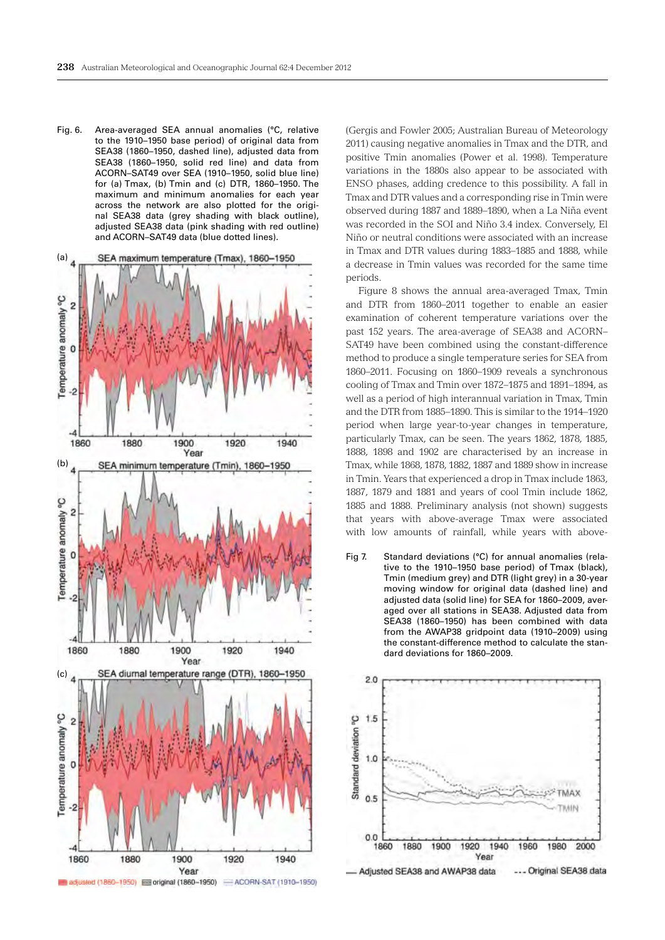Fig. 6. Area-averaged SEA annual anomalies (°C, relative to the 1910–1950 base period) of original data from SEA38 (1860–1950, dashed line), adjusted data from SEA38 (1860–1950, solid red line) and data from ACORN –SAT49 over SEA (1910–1950, solid blue line) for (a) Tmax, (b) Tmin and (c) DTR, 1860–1950. The maximum and minimum anomalies for each year across the network are also plotted for the original SEA38 data (grey shading with black outline), adjusted SEA38 data (pink shading with red outline) and ACORN-SAT49 data (blue dotted lines).



(Gergis and Fowler 2005; Australian Bureau of Meteorology 2011) causing negative anomalies in Tmax and the DTR, and positive Tmin anomalies (Power et al. 1998). Temperature variations in the 1880s also appear to be associated with ENSO phases, adding credence to this possibility. A fall in Tmax and DTR values and a corresponding rise in Tmin were observed during 1887 and 1889–1890, when a La Niña event was recorded in the SOI and Niño 3.4 index. Conversely, El Niño or neutral conditions were associated with an increase in Tmax and DTR values during 1883–1885 and 1888, while a decrease in Tmin values was recorded for the same time periods.

Figure 8 shows the annual area-averaged Tmax, Tmin and DTR from 1860–2011 together to enable an easier examination of coherent temperature variations over the past 152 years. The area-average of SEA38 and ACORN– SAT49 have been combined using the constant-difference method to produce a single temperature series for SEA from 1860–2011. Focusing on 1860–1909 reveals a synchronous cooling of Tmax and Tmin over 1872–1875 and 1891–1894, as well as a period of high interannual variation in Tmax, Tmin and the DTR from 1885–1890. This is similar to the 1914–1920 period when large year-to-year changes in temperature, particularly Tmax, can be seen. The years 1862, 1878, 1885, 1888, 1898 and 1902 are characterised by an increase in Tmax, while 1868, 1878, 1882, 1887 and 1889 show in increase in Tmin. Years that experienced a drop in Tmax include 1863, 1887, 1879 and 1881 and years of cool Tmin include 1862, 1885 and 1888. Preliminary analysis (not shown) suggests that years with above-average Tmax were associated with low amounts of rainfall, while years with above-

Fig 7. Standard deviations (°C) for annual anomalies (relative to the 1910–1950 base period) of Tmax (black), Tmin (medium grey) and DTR (light grey) in a 30-year moving window for original data (dashed line) and adjusted data (solid line) for SEA for 1860–2009, averaged over all stations in SEA38. Adjusted data from SEA38 (1860–1950) has been combined with data from the AWAP38 gridpoint data (1910–2009) using the constant-difference method to calculate the standard deviations for 1860–2009.

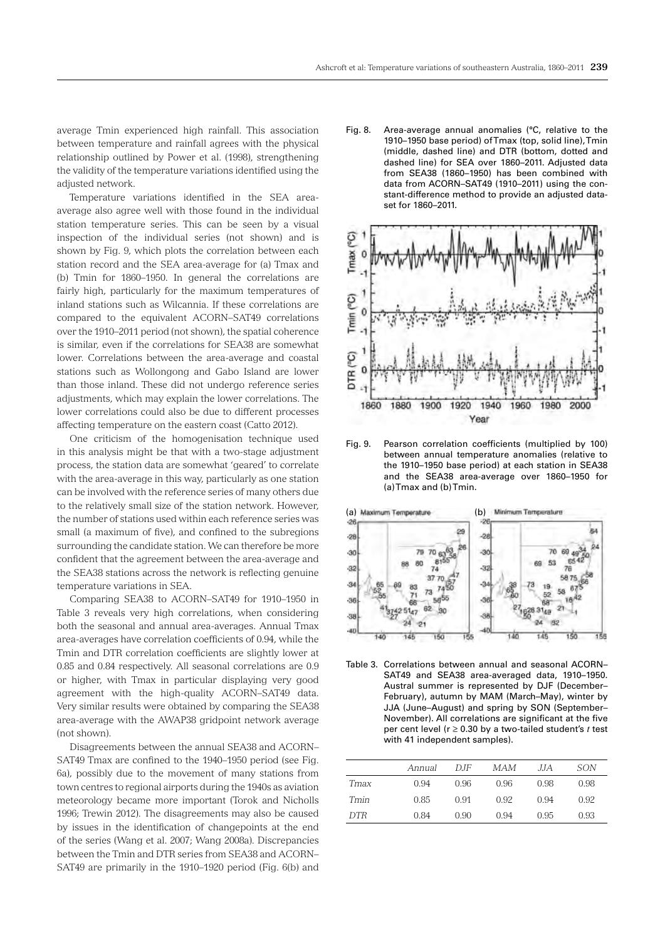average Tmin experienced high rainfall. This association between temperature and rainfall agrees with the physical relationship outlined by Power et al. (1998), strengthening the validity of the temperature variations identified using the adjusted network.

Temperature variations identified in the SEA areaaverage also agree well with those found in the individual station temperature series. This can be seen by a visual inspection of the individual series (not shown) and is shown by Fig. 9, which plots the correlation between each station record and the SEA area-average for (a) Tmax and (b) Tmin for 1860–1950. In general the correlations are fairly high, particularly for the maximum temperatures of inland stations such as Wilcannia. If these correlations are compared to the equivalent ACORN–SAT49 correlations over the 1910–2011 period (not shown), the spatial coherence is similar, even if the correlations for SEA38 are somewhat lower. Correlations between the area-average and coastal stations such as Wollongong and Gabo Island are lower than those inland. These did not undergo reference series adjustments, which may explain the lower correlations. The lower correlations could also be due to different processes affecting temperature on the eastern coast (Catto 2012).

One criticism of the homogenisation technique used in this analysis might be that with a two-stage adjustment process, the station data are somewhat 'geared' to correlate with the area-average in this way, particularly as one station can be involved with the reference series of many others due to the relatively small size of the station network. However, the number of stations used within each reference series was small (a maximum of five), and confined to the subregions surrounding the candidate station. We can therefore be more confident that the agreement between the area-average and the SEA38 stations across the network is reflecting genuine temperature variations in SEA.

Comparing SEA38 to ACORN–SAT49 for 1910–1950 in Table 3 reveals very high correlations, when considering both the seasonal and annual area-averages. Annual Tmax area-averages have correlation coefficients of 0.94, while the Tmin and DTR correlation coefficients are slightly lower at 0.85 and 0.84 respectively. All seasonal correlations are 0.9 or higher, with Tmax in particular displaying very good agreement with the high-quality ACORN–SAT49 data. Very similar results were obtained by comparing the SEA38 area-average with the AWAP38 gridpoint network average (not shown).

Disagreements between the annual SEA38 and ACORN– SAT49 Tmax are confined to the 1940–1950 period (see Fig. 6a), possibly due to the movement of many stations from town centres to regional airports during the 1940s as aviation meteorology became more important (Torok and Nicholls 1996; Trewin 2012). The disagreements may also be caused by issues in the identification of changepoints at the end of the series (Wang et al. 2007; Wang 2008a). Discrepancies between the Tmin and DTR series from SEA38 and ACORN– SAT49 are primarily in the 1910–1920 period (Fig. 6(b) and

Fig. 8. Area-average annual anomalies (°C, relative to the 1910–1950 base period) of Tmax (top, solid line), Tmin (middle, dashed line) and DTR (bottom, dotted and dashed line) for SEA over 1860–2011. Adjusted data from SEA38 (1860–1950) has been combined with data from ACORN-SAT49 (1910-2011) using the constant-difference method to provide an adjusted dataset for 1860–2011.



Fig. 9. Pearson correlation coefficients (multiplied by 100) between annual temperature anomalies (relative to the 1910–1950 base period) at each station in SEA38 and the SEA38 area-average over 1860–1950 for (a) Tmax and (b) Tmin.



Table 3. Correlations between annual and seasonal ACORN-SAT49 and SEA38 area-averaged data, 1910-1950. Austral summer is represented by DJF (December– February), autumn by MAM (March–May), winter by JJA (June–August) and spring by SON (September– November). All correlations are significant at the five per cent level (r ≥ 0.30 by a two-tailed student's *t* test with 41 independent samples).

|      | Annual | D.IF | MAM  | .JJA | SON  |
|------|--------|------|------|------|------|
| Tmax | 0.94   | 0.96 | 0.96 | 0.98 | 0.98 |
| Tmin | 0.85   | 0.91 | 0.92 | 0.94 | 0.92 |
| DTR. | 0.84   | 0.90 | 0.94 | 0.95 | 0.93 |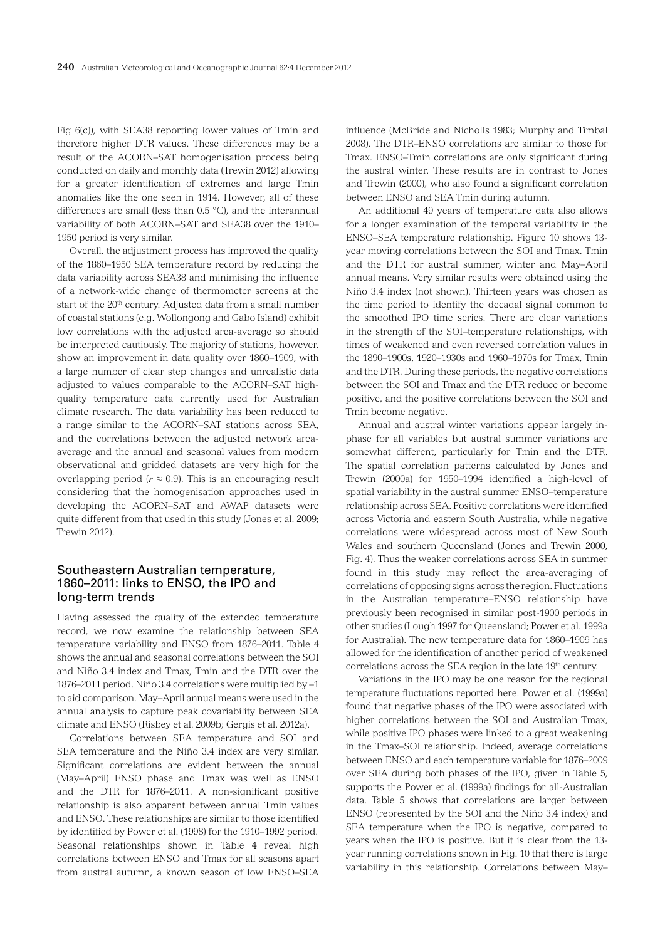Fig 6(c)), with SEA38 reporting lower values of Tmin and therefore higher DTR values. These differences may be a result of the ACORN–SAT homogenisation process being conducted on daily and monthly data (Trewin 2012) allowing for a greater identification of extremes and large Tmin anomalies like the one seen in 1914. However, all of these differences are small (less than 0.5 °C), and the interannual variability of both ACORN–SAT and SEA38 over the 1910– 1950 period is very similar.

Overall, the adjustment process has improved the quality of the 1860–1950 SEA temperature record by reducing the data variability across SEA38 and minimising the influence of a network-wide change of thermometer screens at the start of the 20<sup>th</sup> century. Adjusted data from a small number of coastal stations (e.g. Wollongong and Gabo Island) exhibit low correlations with the adjusted area-average so should be interpreted cautiously. The majority of stations, however, show an improvement in data quality over 1860–1909, with a large number of clear step changes and unrealistic data adjusted to values comparable to the ACORN–SAT highquality temperature data currently used for Australian climate research. The data variability has been reduced to a range similar to the ACORN–SAT stations across SEA, and the correlations between the adjusted network areaaverage and the annual and seasonal values from modern observational and gridded datasets are very high for the overlapping period ( $r \approx 0.9$ ). This is an encouraging result considering that the homogenisation approaches used in developing the ACORN–SAT and AWAP datasets were quite different from that used in this study (Jones et al. 2009; Trewin 2012).

# Southeastern Australian temperature, 1860–2011: links to ENSO, the IPO and long-term trends

Having assessed the quality of the extended temperature record, we now examine the relationship between SEA temperature variability and ENSO from 1876–2011. Table 4 shows the annual and seasonal correlations between the SOI and Niño 3.4 index and Tmax, Tmin and the DTR over the 1876–2011 period. Niño 3.4 correlations were multiplied by –1 to aid comparison. May–April annual means were used in the annual analysis to capture peak covariability between SEA climate and ENSO (Risbey et al. 2009b; Gergis et al. 2012a).

Correlations between SEA temperature and SOI and SEA temperature and the Niño 3.4 index are very similar. Significant correlations are evident between the annual (May–April) ENSO phase and Tmax was well as ENSO and the DTR for 1876–2011. A non-significant positive relationship is also apparent between annual Tmin values and ENSO. These relationships are similar to those identified by identified by Power et al. (1998) for the 1910–1992 period. Seasonal relationships shown in Table 4 reveal high correlations between ENSO and Tmax for all seasons apart from austral autumn, a known season of low ENSO–SEA

influence (McBride and Nicholls 1983; Murphy and Timbal 2008). The DTR–ENSO correlations are similar to those for Tmax. ENSO–Tmin correlations are only significant during the austral winter. These results are in contrast to Jones and Trewin (2000), who also found a significant correlation between ENSO and SEA Tmin during autumn.

An additional 49 years of temperature data also allows for a longer examination of the temporal variability in the ENSO–SEA temperature relationship. Figure 10 shows 13 year moving correlations between the SOI and Tmax, Tmin and the DTR for austral summer, winter and May–April annual means. Very similar results were obtained using the Niño 3.4 index (not shown). Thirteen years was chosen as the time period to identify the decadal signal common to the smoothed IPO time series. There are clear variations in the strength of the SOI–temperature relationships, with times of weakened and even reversed correlation values in the 1890–1900s, 1920–1930s and 1960–1970s for Tmax, Tmin and the DTR. During these periods, the negative correlations between the SOI and Tmax and the DTR reduce or become positive, and the positive correlations between the SOI and Tmin become negative.

Annual and austral winter variations appear largely inphase for all variables but austral summer variations are somewhat different, particularly for Tmin and the DTR. The spatial correlation patterns calculated by Jones and Trewin (2000a) for 1950–1994 identified a high-level of spatial variability in the austral summer ENSO–temperature relationship across SEA. Positive correlations were identified across Victoria and eastern South Australia, while negative correlations were widespread across most of New South Wales and southern Queensland (Jones and Trewin 2000, Fig. 4). Thus the weaker correlations across SEA in summer found in this study may reflect the area-averaging of correlations of opposing signs across the region. Fluctuations in the Australian temperature–ENSO relationship have previously been recognised in similar post-1900 periods in other studies (Lough 1997 for Queensland; Power et al. 1999a for Australia). The new temperature data for 1860–1909 has allowed for the identification of another period of weakened correlations across the SEA region in the late 19<sup>th</sup> century.

Variations in the IPO may be one reason for the regional temperature fluctuations reported here. Power et al. (1999a) found that negative phases of the IPO were associated with higher correlations between the SOI and Australian Tmax, while positive IPO phases were linked to a great weakening in the Tmax–SOI relationship. Indeed, average correlations between ENSO and each temperature variable for 1876–2009 over SEA during both phases of the IPO, given in Table 5, supports the Power et al. (1999a) findings for all-Australian data. Table 5 shows that correlations are larger between ENSO (represented by the SOI and the Niño 3.4 index) and SEA temperature when the IPO is negative, compared to years when the IPO is positive. But it is clear from the 13 year running correlations shown in Fig. 10 that there is large variability in this relationship. Correlations between May–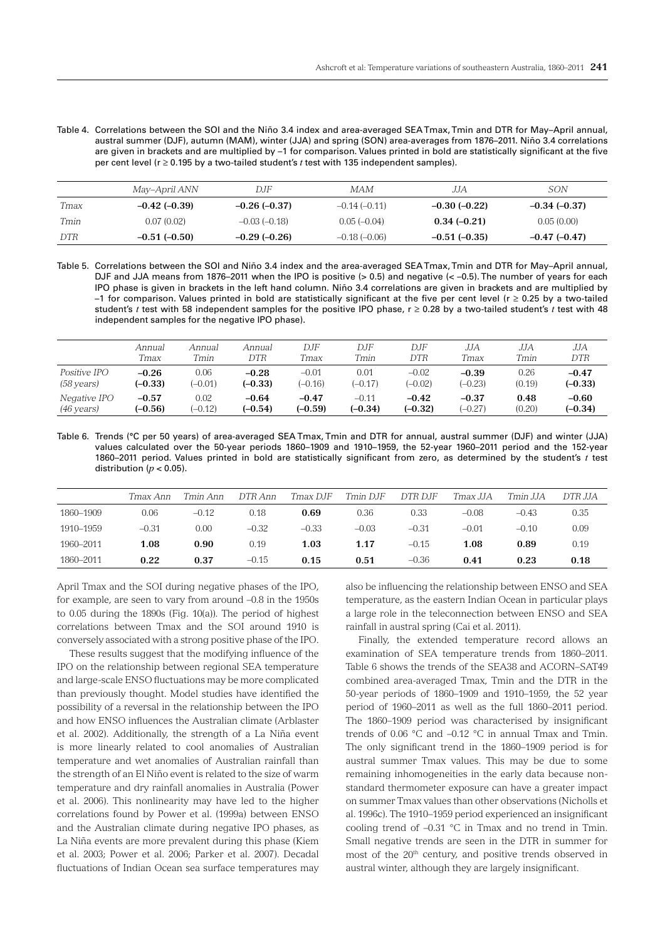Table 4. Correlations between the SOI and the Niño 3.4 index and area-averaged SEATmax, Tmin and DTR for May–April annual, austral summer (DJF), autumn (MAM), winter (JJA) and spring (SON) area-averages from 1876–2011. Niño 3.4 correlations are given in brackets and are multiplied by –1 for comparison. Values printed in bold are statistically significant at the five per cent level (r ≥ 0.195 by a two-tailed student's *t* test with 135 independent samples).

|            | May–April ANN       | DJF            | MAM            | JJA             | SON                 |
|------------|---------------------|----------------|----------------|-----------------|---------------------|
| Tmax       | $-0.42$ ( $-0.39$ ) | $-0.26(-0.37)$ | $-0.14(-0.11)$ | $-0.30$ (-0.22) | $-0.34(-0.37)$      |
| Tmin       | 0.07(0.02)          | $-0.03(-0.18)$ | $0.05(-0.04)$  | $0.34(-0.21)$   | 0.05(0.00)          |
| <b>DTR</b> | $-0.51(-0.50)$      | $-0.29(-0.26)$ | $-0.18(-0.06)$ | $-0.51(-0.35)$  | $-0.47$ ( $-0.47$ ) |

Table 5. Correlations between the SOI and Niño 3.4 index and the area-averaged SEATmax, Tmin and DTR for May–April annual, DJF and JJA means from 1876–2011 when the IPO is positive (> 0.5) and negative (< -0.5). The number of years for each IPO phase is given in brackets in the left hand column. Niño 3.4 correlations are given in brackets and are multiplied by –1 for comparison. Values printed in bold are statistically significant at the five per cent level (r ≥ 0.25 by a two-tailed student's *t* test with 58 independent samples for the positive IPO phase,  $r \ge 0.28$  by a two-tailed student's *t* test with 48 independent samples for the negative IPO phase).

|                      | Annual    | Annual    | Annual    | DJF       | DJF       | DJF       | JJА       | JJА    | JJА       |
|----------------------|-----------|-----------|-----------|-----------|-----------|-----------|-----------|--------|-----------|
|                      | Tmax      | Tmin      | DTR       | Tmax      | Tmin      | DTR       | Tmax      | Tmin   | DTR       |
| <i>Positive IPO</i>  | $-0.26$   | 0.06      | $-0.28$   | $-0.01$   | 0.01      | $-0.02$   | $-0.39$   | 0.26   | $-0.47$   |
| $(58 \text{ years})$ | $(-0.33)$ | $-0.01$   | $(-0.33)$ | $(-0.16)$ | $(-0.17)$ | $(-0.02)$ | $(-0.23)$ | (0.19) | $(-0.33)$ |
| Negative IPO         | $-0.57$   | 0.02      | $-0.64$   | $-0.47$   | $-0.11$   | $-0.42$   | $-0.37$   | 0.48   | $-0.60$   |
| $(46 \text{ years})$ | $(-0.56)$ | $(-0.12)$ | $(-0.54)$ | $(-0.59)$ | $(-0.34)$ | $(-0.32)$ | $(-0.27)$ | (0.20) | $(-0.34)$ |

Table 6. Trends (°C per 50 years) of area-averaged SEA Tmax, Tmin and DTR for annual, austral summer (DJF) and winter (JJA) values calculated over the 50-year periods 1860–1909 and 1910–1959, the 52-year 1960–2011 period and the 152-year 1860–2011 period. Values printed in bold are statistically significant from zero, as determined by the student's *t* test distribution ( $p < 0.05$ ).

|           | Tmax Ann | Tmin Ann | DTR Ann | Tmax DJF | Tmin DJF | DTR DJF | Tmax JJA | Tmin JJA | DTR JJA |
|-----------|----------|----------|---------|----------|----------|---------|----------|----------|---------|
| 1860-1909 | 0.06     | $-0.12$  | 0.18    | 0.69     | 0.36     | 0.33    | $-0.08$  | $-0.43$  | 0.35    |
| 1910-1959 | $-0.31$  | 0.00     | $-0.32$ | $-0.33$  | $-0.03$  | $-0.31$ | $-0.01$  | $-0.10$  | 0.09    |
| 1960–2011 | 1.08     | 0.90     | 0.19    | 1.03     | 1.17     | $-0.15$ | 1.08     | 0.89     | 0.19    |
| 1860-2011 | 0.22     | 0.37     | $-0.15$ | 0.15     | 0.51     | $-0.36$ | 0.41     | 0.23     | 0.18    |

April Tmax and the SOI during negative phases of the IPO, for example, are seen to vary from around –0.8 in the 1950s to 0.05 during the 1890s (Fig. 10(a)). The period of highest correlations between Tmax and the SOI around 1910 is conversely associated with a strong positive phase of the IPO.

These results suggest that the modifying influence of the IPO on the relationship between regional SEA temperature and large-scale ENSO fluctuations may be more complicated than previously thought. Model studies have identified the possibility of a reversal in the relationship between the IPO and how ENSO influences the Australian climate (Arblaster et al. 2002). Additionally, the strength of a La Niña event is more linearly related to cool anomalies of Australian temperature and wet anomalies of Australian rainfall than the strength of an El Niño event is related to the size of warm temperature and dry rainfall anomalies in Australia (Power et al. 2006). This nonlinearity may have led to the higher correlations found by Power et al. (1999a) between ENSO and the Australian climate during negative IPO phases, as La Niña events are more prevalent during this phase (Kiem et al. 2003; Power et al. 2006; Parker et al. 2007). Decadal fluctuations of Indian Ocean sea surface temperatures may

also be influencing the relationship between ENSO and SEA temperature, as the eastern Indian Ocean in particular plays a large role in the teleconnection between ENSO and SEA rainfall in austral spring (Cai et al. 2011).

Finally, the extended temperature record allows an examination of SEA temperature trends from 1860–2011. Table 6 shows the trends of the SEA38 and ACORN–SAT49 combined area-averaged Tmax, Tmin and the DTR in the 50-year periods of 1860–1909 and 1910–1959, the 52 year period of 1960–2011 as well as the full 1860–2011 period. The 1860–1909 period was characterised by insignificant trends of 0.06 °C and –0.12 °C in annual Tmax and Tmin. The only significant trend in the 1860–1909 period is for austral summer Tmax values. This may be due to some remaining inhomogeneities in the early data because nonstandard thermometer exposure can have a greater impact on summer Tmax values than other observations (Nicholls et al. 1996c). The 1910–1959 period experienced an insignificant cooling trend of –0.31 °C in Tmax and no trend in Tmin. Small negative trends are seen in the DTR in summer for most of the 20<sup>th</sup> century, and positive trends observed in austral winter, although they are largely insignificant.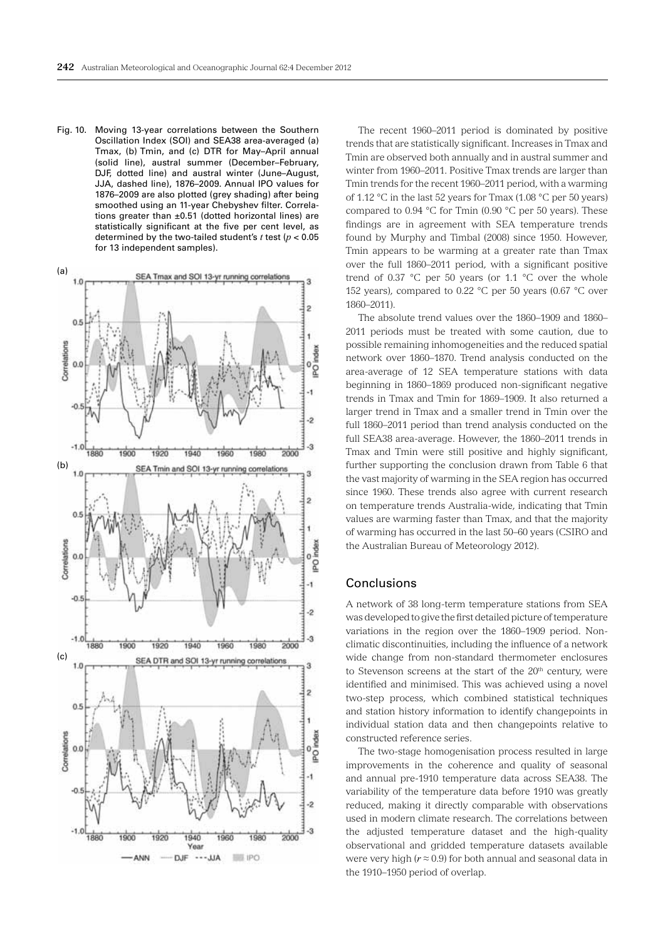Fig. 10. Moving 13-year correlations between the Southern Oscillation Index (SOI) and SEA38 area-averaged (a) Tmax, (b) Tmin, and (c) DTR for May–April annual (solid line), austral summer (December–February, DJF, dotted line) and austral winter (June–August, JJA, dashed line), 1876-2009. Annual IPO values for 1876–2009 are also plotted (grey shading) after being smoothed using an 11-year Chebyshev filter. Correlations greater than ±0.51 (dotted horizontal lines) are statistically significant at the five per cent level, as determined by the two-tailed student's *t* test (*p* < 0.05 for 13 independent samples).



The recent 1960–2011 period is dominated by positive trends that are statistically significant. Increases in Tmax and Tmin are observed both annually and in austral summer and winter from 1960–2011. Positive Tmax trends are larger than Tmin trends for the recent 1960–2011 period, with a warming of 1.12 °C in the last 52 years for Tmax (1.08 °C per 50 years) compared to 0.94 °C for Tmin (0.90 °C per 50 years). These findings are in agreement with SEA temperature trends found by Murphy and Timbal (2008) since 1950. However, Tmin appears to be warming at a greater rate than Tmax over the full 1860–2011 period, with a significant positive trend of 0.37  $\degree$ C per 50 years (or 1.1  $\degree$ C over the whole 152 years), compared to 0.22  $^{\circ}$ C per 50 years (0.67  $^{\circ}$ C over 1860–2011).

The absolute trend values over the 1860–1909 and 1860– 2011 periods must be treated with some caution, due to possible remaining inhomogeneities and the reduced spatial network over 1860–1870. Trend analysis conducted on the area-average of 12 SEA temperature stations with data beginning in 1860–1869 produced non-significant negative trends in Tmax and Tmin for 1869–1909. It also returned a larger trend in Tmax and a smaller trend in Tmin over the full 1860–2011 period than trend analysis conducted on the full SEA38 area-average. However, the 1860–2011 trends in Tmax and Tmin were still positive and highly significant, further supporting the conclusion drawn from Table 6 that the vast majority of warming in the SEA region has occurred since 1960. These trends also agree with current research on temperature trends Australia-wide, indicating that Tmin values are warming faster than Tmax, and that the majority of warming has occurred in the last 50–60 years (CSIRO and the Australian Bureau of Meteorology 2012).

# Conclusions

A network of 38 long-term temperature stations from SEA was developed to give the first detailed picture of temperature variations in the region over the 1860–1909 period. Nonclimatic discontinuities, including the influence of a network wide change from non-standard thermometer enclosures to Stevenson screens at the start of the  $20<sup>th</sup>$  century, were identified and minimised. This was achieved using a novel two-step process, which combined statistical techniques and station history information to identify changepoints in individual station data and then changepoints relative to constructed reference series.

The two-stage homogenisation process resulted in large improvements in the coherence and quality of seasonal and annual pre-1910 temperature data across SEA38. The variability of the temperature data before 1910 was greatly reduced, making it directly comparable with observations used in modern climate research. The correlations between the adjusted temperature dataset and the high-quality observational and gridded temperature datasets available were very high (*r ≈* 0.9) for both annual and seasonal data in the 1910–1950 period of overlap.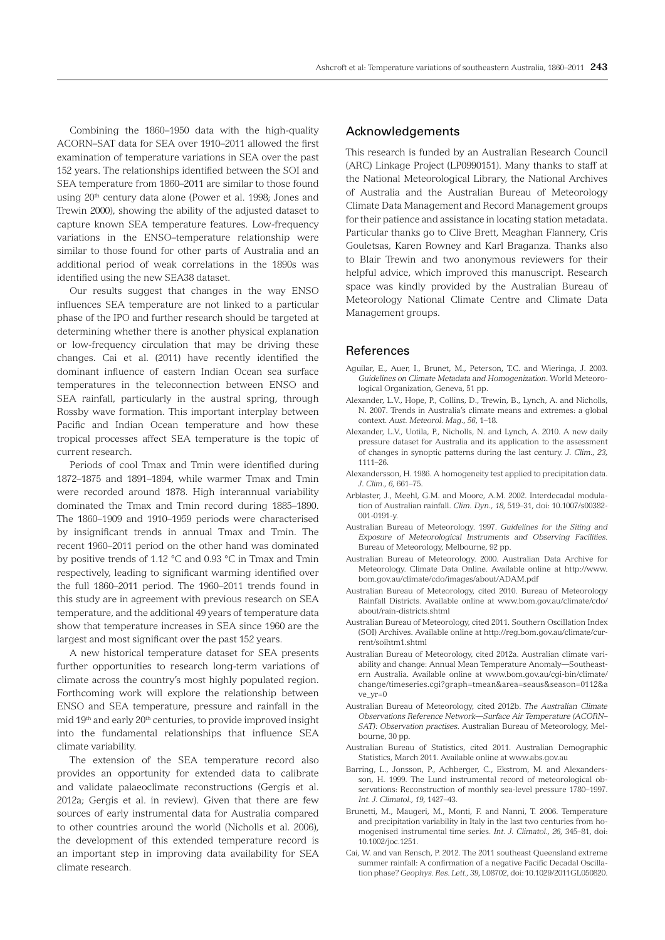Combining the 1860–1950 data with the high-quality ACORN–SAT data for SEA over 1910–2011 allowed the first examination of temperature variations in SEA over the past 152 years. The relationships identified between the SOI and SEA temperature from 1860–2011 are similar to those found using 20<sup>th</sup> century data alone (Power et al. 1998; Jones and Trewin 2000), showing the ability of the adjusted dataset to capture known SEA temperature features. Low-frequency variations in the ENSO–temperature relationship were similar to those found for other parts of Australia and an additional period of weak correlations in the 1890s was identified using the new SEA38 dataset.

Our results suggest that changes in the way ENSO influences SEA temperature are not linked to a particular phase of the IPO and further research should be targeted at determining whether there is another physical explanation or low-frequency circulation that may be driving these changes. Cai et al. (2011) have recently identified the dominant influence of eastern Indian Ocean sea surface temperatures in the teleconnection between ENSO and SEA rainfall, particularly in the austral spring, through Rossby wave formation. This important interplay between Pacific and Indian Ocean temperature and how these tropical processes affect SEA temperature is the topic of current research.

Periods of cool Tmax and Tmin were identified during 1872–1875 and 1891–1894, while warmer Tmax and Tmin were recorded around 1878. High interannual variability dominated the Tmax and Tmin record during 1885–1890. The 1860–1909 and 1910–1959 periods were characterised by insignificant trends in annual Tmax and Tmin. The recent 1960–2011 period on the other hand was dominated by positive trends of 1.12 °C and 0.93 °C in Tmax and Tmin respectively, leading to significant warming identified over the full 1860–2011 period. The 1960–2011 trends found in this study are in agreement with previous research on SEA temperature, and the additional 49 years of temperature data show that temperature increases in SEA since 1960 are the largest and most significant over the past 152 years.

A new historical temperature dataset for SEA presents further opportunities to research long-term variations of climate across the country's most highly populated region. Forthcoming work will explore the relationship between ENSO and SEA temperature, pressure and rainfall in the mid 19th and early 20th centuries, to provide improved insight into the fundamental relationships that influence SEA climate variability.

The extension of the SEA temperature record also provides an opportunity for extended data to calibrate and validate palaeoclimate reconstructions (Gergis et al. 2012a; Gergis et al. in review). Given that there are few sources of early instrumental data for Australia compared to other countries around the world (Nicholls et al. 2006), the development of this extended temperature record is an important step in improving data availability for SEA climate research.

## Acknowledgements

This research is funded by an Australian Research Council (ARC) Linkage Project (LP0990151). Many thanks to staff at the National Meteorological Library, the National Archives of Australia and the Australian Bureau of Meteorology Climate Data Management and Record Management groups for their patience and assistance in locating station metadata. Particular thanks go to Clive Brett, Meaghan Flannery, Cris Gouletsas, Karen Rowney and Karl Braganza. Thanks also to Blair Trewin and two anonymous reviewers for their helpful advice, which improved this manuscript. Research space was kindly provided by the Australian Bureau of Meteorology National Climate Centre and Climate Data Management groups.

## References

- Aguilar, E., Auer, I., Brunet, M., Peterson, T.C. and Wieringa, J. 2003. *Guidelines on Climate Metadata and Homogenization*. World Meteorological Organization, Geneva, 51 pp.
- Alexander, L.V., Hope, P., Collins, D., Trewin, B., Lynch, A. and Nicholls, N. 2007. Trends in Australia's climate means and extremes: a global context. *Aust. Meteorol. Mag., 56*, 1–18.
- Alexander, L.V., Uotila, P., Nicholls, N. and Lynch, A. 2010. A new daily pressure dataset for Australia and its application to the assessment of changes in synoptic patterns during the last century. *J. Clim., 23,*  1111–26.
- Alexandersson, H. 1986. A homogeneity test applied to precipitation data. *J. Clim., 6,* 661–75.
- Arblaster, J., Meehl, G.M. and Moore, A.M. 2002. Interdecadal modulation of Australian rainfall. *Clim. Dyn., 18*, 519–31, doi: 10.1007/s00382- 001-0191-y.
- Australian Bureau of Meteorology. 1997. *Guidelines for the Siting and Exposure of Meteorological Instruments and Observing Facilities.* Bureau of Meteorology, Melbourne, 92 pp.
- Australian Bureau of Meteorology. 2000. Australian Data Archive for Meteorology. Climate Data Online. Available online at http://www. bom.gov.au/climate/cdo/images/about/ADAM.pdf
- Australian Bureau of Meteorology, cited 2010. Bureau of Meteorology Rainfall Districts. Available online at www.bom.gov.au/climate/cdo/ about/rain-districts.shtml
- Australian Bureau of Meteorology, cited 2011. Southern Oscillation Index (SOI) Archives. Available online at http://reg.bom.gov.au/climate/current/soihtm1.shtml
- Australian Bureau of Meteorology, cited 2012a. Australian climate variability and change: Annual Mean Temperature Anomaly*—*Southeastern Australia. Available online at www.bom.gov.au/cgi-bin/climate/ change/timeseries.cgi?graph=tmean&area=seaus&season=0112&a ve\_yr=0
- Australian Bureau of Meteorology, cited 2012b. *The Australian Climate Observations Reference Network—Surface Air Temperature (ACORN– SAT): Observation practises.* Australian Bureau of Meteorology, Melbourne, 30 pp.
- Australian Bureau of Statistics, cited 2011. Australian Demographic Statistics, March 2011. Available online at www.abs.gov.au
- Barring, L., Jonsson, P., Achberger, C., Ekstrom, M. and Alexandersson, H. 1999. The Lund instrumental record of meteorological observations: Reconstruction of monthly sea-level pressure 1780–1997. *Int. J. Climatol., 19,* 1427–43.
- Brunetti, M., Maugeri, M., Monti, F. and Nanni, T. 2006. Temperature and precipitation variability in Italy in the last two centuries from homogenised instrumental time series. *Int. J. Climatol., 26,* 345–81, doi: 10.1002/joc.1251.
- Cai, W. and van Rensch, P. 2012. The 2011 southeast Queensland extreme summer rainfall: A confirmation of a negative Pacific Decadal Oscillation phase? *Geophys. Res. Lett., 39,* L08702, doi: 10.1029/2011GL050820.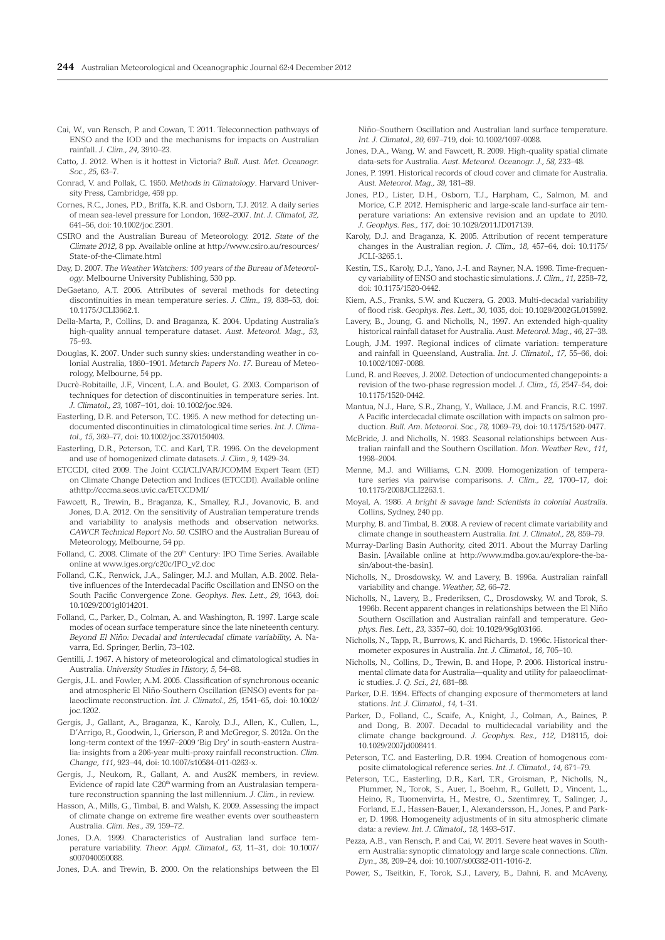- Cai, W., van Rensch, P. and Cowan, T. 2011. Teleconnection pathways of ENSO and the IOD and the mechanisms for impacts on Australian rainfall. *J. Clim., 24,* 3910–23.
- Catto, J. 2012. When is it hottest in Victoria? *Bull. Aust. Met. Oceanogr. Soc., 25*, 63–7.
- Conrad, V. and Pollak, C. 1950. *Methods in Climatology*. Harvard University Press, Cambridge, 459 pp.
- Cornes, R.C., Jones, P.D., Briffa, K.R. and Osborn, T.J. 2012. A daily series of mean sea-level pressure for London, 1692–2007. *Int. J. Climatol, 32,*  641–56, doi: 10.1002/joc.2301.
- CSIRO and the Australian Bureau of Meteorology. 2012. *State of the Climate 2012,* 8 pp. Available online at http://www.csiro.au/resources/ State-of-the-Climate.html
- Day, D. 2007. *The Weather Watchers: 100 years of the Bureau of Meteorology.* Melbourne University Publishing, 530 pp.
- DeGaetano, A.T. 2006. Attributes of several methods for detecting discontinuities in mean temperature series. *J. Clim., 19,* 838–53, doi: 10.1175/JCLI3662.1.
- Della-Marta, P., Collins, D. and Braganza, K. 2004. Updating Australia's high-quality annual temperature dataset. *Aust. Meteorol. Mag., 53,*  75–93.
- Douglas, K. 2007. Under such sunny skies: understanding weather in colonial Australia, 1860–1901. *Metarch Papers No. 17*. Bureau of Meteorology, Melbourne, 54 pp.
- Ducrè-Robitaille, J.F., Vincent, L.A. and Boulet, G. 2003. Comparison of techniques for detection of discontinuities in temperature series. Int. *J. Climatol., 23,* 1087–101, doi: 10.1002/joc.924.
- Easterling, D.R. and Peterson, T.C. 1995. A new method for detecting undocumented discontinuities in climatological time series. *Int. J. Climatol., 15,* 369–77, doi: 10.1002/joc.3370150403.
- Easterling, D.R., Peterson, T.C. and Karl, T.R. 1996. On the development and use of homogenized climate datasets. *J. Clim., 9,* 1429–34.
- ETCCDI, cited 2009. The Joint CCI/CLIVAR/JCOMM Expert Team (ET) on Climate Change Detection and Indices (ETCCDI). Available online athttp://cccma.seos.uvic.ca/ETCCDMI/
- Fawcett, R., Trewin, B., Braganza, K., Smalley, R.J., Jovanovic, B. and Jones, D.A. 2012. On the sensitivity of Australian temperature trends and variability to analysis methods and observation networks. *CAWCR Technical Report No. 50.* CSIRO and the Australian Bureau of Meteorology, Melbourne, 54 pp.
- Folland, C. 2008. Climate of the 20<sup>th</sup> Century: IPO Time Series. Available online at www.iges.org/c20c/IPO\_v2.doc
- Folland, C.K., Renwick, J.A., Salinger, M.J. and Mullan, A.B. 2002. Relative influences of the Interdecadal Pacific Oscillation and ENSO on the South Pacific Convergence Zone. *Geophys. Res. Lett., 29,* 1643, doi: 10.1029/2001gl014201.
- Folland, C., Parker, D., Colman, A. and Washington, R. 1997. Large scale modes of ocean surface temperature since the late nineteenth century. *Beyond El Niño: Decadal and interdecadal climate variability,* A. Navarra, Ed. Springer, Berlin, 73–102.
- Gentilli, J. 1967. A history of meteorological and climatological studies in Australia. *University Studies in History, 5,* 54–88.
- Gergis, J.L. and Fowler, A.M. 2005. Classification of synchronous oceanic and atmospheric El Niño-Southern Oscillation (ENSO) events for palaeoclimate reconstruction. *Int. J. Climatol., 25,* 1541–65, doi: 10.1002/ joc.1202.
- Gergis, J., Gallant, A., Braganza, K., Karoly, D.J., Allen, K., Cullen, L., D'Arrigo, R., Goodwin, I., Grierson, P. and McGregor, S. 2012a. On the long-term context of the 1997–2009 'Big Dry' in south-eastern Australia: insights from a 206-year multi-proxy rainfall reconstruction. *Clim. Change, 111*, 923–44, doi: 10.1007/s10584-011-0263-x.
- Gergis, J., Neukom, R., Gallant, A. and Aus2K members, in review. Evidence of rapid late C20<sup>th</sup> warming from an Australasian temperature reconstruction spanning the last millennium. *J. Clim.,* in review.
- Hasson, A., Mills, G., Timbal, B. and Walsh, K. 2009. Assessing the impact of climate change on extreme fire weather events over southeastern Australia. *Clim. Res., 39*, 159–72.
- Jones, D.A. 1999. Characteristics of Australian land surface temperature variability. *Theor. Appl. Climatol., 63,* 11–31, doi: 10.1007/ s007040050088.
- Jones, D.A. and Trewin, B. 2000. On the relationships between the El

Niño–Southern Oscillation and Australian land surface temperature. *Int. J. Climatol., 20,* 697–719, doi: 10.1002/1097-0088.

- Jones, D.A., Wang, W. and Fawcett, R. 2009. High-quality spatial climate data-sets for Australia. *Aust. Meteorol. Oceanogr. J., 58,* 233–48.
- Jones, P. 1991. Historical records of cloud cover and climate for Australia. *Aust. Meteorol. Mag., 39,* 181–89.
- Jones, P.D., Lister, D.H., Osborn, T.J., Harpham, C., Salmon, M. and Morice, C.P. 2012. Hemispheric and large-scale land-surface air temperature variations: An extensive revision and an update to 2010. *J. Geophys. Res., 117,* doi: 10.1029/2011JD017139.
- Karoly, D.J. and Braganza, K. 2005. Attribution of recent temperature changes in the Australian region. *J. Clim., 18,* 457–64, doi: 10.1175/ JCLI-3265.1.
- Kestin, T.S., Karoly, D.J., Yano, J.-I. and Rayner, N.A. 1998. Time-frequency variability of ENSO and stochastic simulations. *J. Clim., 11,* 2258–72, doi: 10.1175/1520-0442.
- Kiem, A.S., Franks, S.W. and Kuczera, G. 2003. Multi-decadal variability of flood risk. *Geophys. Res. Lett., 30,* 1035, doi: 10.1029/2002GL015992.
- Lavery, B., Joung, G. and Nicholls, N., 1997. An extended high-quality historical rainfall dataset for Australia. *Aust. Meteorol. Mag., 46,* 27–38.
- Lough, J.M. 1997. Regional indices of climate variation: temperature and rainfall in Queensland, Australia. *Int. J. Climatol., 17,* 55–66, doi: 10.1002/1097-0088.
- Lund, R. and Reeves, J. 2002. Detection of undocumented changepoints: a revision of the two-phase regression model. *J. Clim., 15,* 2547–54, doi: 10.1175/1520-0442.
- Mantua, N.J., Hare, S.R., Zhang, Y., Wallace, J.M. and Francis, R.C. 1997. A Pacific interdecadal climate oscillation with impacts on salmon production. *Bull. Am. Meteorol. Soc., 78,* 1069–79, doi: 10.1175/1520-0477.
- McBride, J. and Nicholls, N. 1983. Seasonal relationships between Australian rainfall and the Southern Oscillation. *Mon. Weather Rev., 111,*  1998–2004.
- Menne, M.J. and Williams, C.N. 2009. Homogenization of temperature series via pairwise comparisons. *J. Clim., 22,* 1700–17, doi: 10.1175/2008JCLI2263.1.
- Moyal, A. 1986. *A bright & savage land: Scientists in colonial Australia.*  Collins, Sydney, 240 pp.
- Murphy, B. and Timbal, B. 2008. A review of recent climate variability and climate change in southeastern Australia. *Int. J. Climatol., 28,* 859–79.
- Murray-Darling Basin Authority, cited 2011. About the Murray Darling Basin. [Available online at http://www.mdba.gov.au/explore-the-basin/about-the-basin].
- Nicholls, N., Drosdowsky, W. and Lavery, B. 1996a. Australian rainfall variability and change. *Weather, 52,* 66–72.
- Nicholls, N., Lavery, B., Frederiksen, C., Drosdowsky, W. and Torok, S. 1996b. Recent apparent changes in relationships between the El Niño Southern Oscillation and Australian rainfall and temperature. *Geophys. Res. Lett., 23,* 3357–60, doi: 10.1029/96gl03166.
- Nicholls, N., Tapp, R., Burrows, K. and Richards, D. 1996c. Historical thermometer exposures in Australia. *Int. J. Climatol., 16,* 705–10.
- Nicholls, N., Collins, D., Trewin, B. and Hope, P. 2006. Historical instrumental climate data for Australia—quality and utility for palaeoclimatic studies. *J. Q. Sci., 21,* 681–88.
- Parker, D.E. 1994. Effects of changing exposure of thermometers at land stations. *Int. J. Climatol., 14,* 1–31.
- Parker, D., Folland, C., Scaife, A., Knight, J., Colman, A., Baines, P. and Dong, B. 2007. Decadal to multidecadal variability and the climate change background. *J. Geophys. Res., 112,* D18115, doi: 10.1029/2007jd008411.
- Peterson, T.C. and Easterling, D.R. 1994. Creation of homogenous composite climatological reference series. *Int. J. Climatol., 14,* 671–79.
- Peterson, T.C., Easterling, D.R., Karl, T.R., Groisman, P., Nicholls, N., Plummer, N., Torok, S., Auer, I., Boehm, R., Gullett, D., Vincent, L., Heino, R., Tuomenvirta, H., Mestre, O., Szentimrey, T., Salinger, J., Forland, E.J., Hassen-Bauer, I., Alexandersson, H., Jones, P. and Parker, D. 1998. Homogeneity adjustments of in situ atmospheric climate data: a review. *Int. J. Climatol., 18,* 1493–517.
- Pezza, A.B., van Rensch, P. and Cai, W. 2011. Severe heat waves in Southern Australia: synoptic climatology and large scale connections. *Clim. Dyn., 38,* 209–24, doi: 10.1007/s00382-011-1016-2.
- Power, S., Tseitkin, F., Torok, S.J., Lavery, B., Dahni, R. and McAveny,